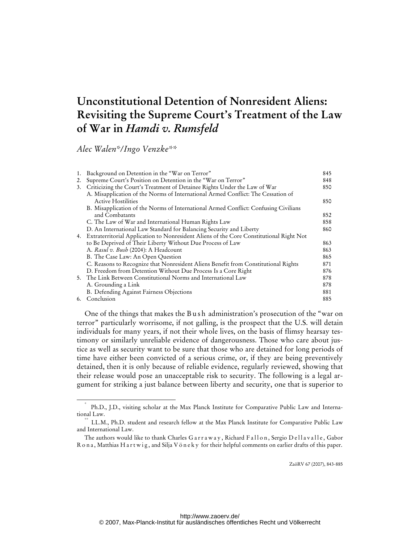# **Unconstitutional Detention of Nonresident Aliens: Revisiting the Supreme Court's Treatment of the Law of War in** *Hamdi v. Rumsfeld*

*Alec Walen\*/Ingo Venzke\*\** 

| 1. | Background on Detention in the "War on Terror"                                          | 845 |
|----|-----------------------------------------------------------------------------------------|-----|
| 2. | Supreme Court's Position on Detention in the "War on Terror"                            | 848 |
| 3. | Criticizing the Court's Treatment of Detainee Rights Under the Law of War               | 850 |
|    | A. Misapplication of the Norms of International Armed Conflict: The Cessation of        |     |
|    | <b>Active Hostilities</b>                                                               | 850 |
|    | B. Misapplication of the Norms of International Armed Conflict: Confusing Civilians     |     |
|    | and Combatants                                                                          | 852 |
|    | C. The Law of War and International Human Rights Law                                    | 858 |
|    | D. An International Law Standard for Balancing Security and Liberty                     | 860 |
| 4. | Extraterritorial Application to Nonresident Aliens of the Core Constitutional Right Not |     |
|    | to Be Deprived of Their Liberty Without Due Process of Law                              | 863 |
|    | A. Rasul v. Bush (2004): A Headcount                                                    | 863 |
|    | B. The Case Law: An Open Question                                                       | 865 |
|    | C. Reasons to Recognize that Nonresident Aliens Benefit from Constitutional Rights      | 871 |
|    | D. Freedom from Detention Without Due Process Is a Core Right                           | 876 |
|    | 5. The Link Between Constitutional Norms and International Law                          | 878 |
|    | A. Grounding a Link                                                                     | 878 |
|    | B. Defending Against Fairness Objections                                                | 881 |
| 6. | Conclusion                                                                              | 885 |

One of the things that makes the B ush administration's prosecution of the "war on terror" particularly worrisome, if not galling, is the prospect that the U.S. will detain individuals for many years, if not their whole lives, on the basis of flimsy hearsay testimony or similarly unreliable evidence of dangerousness. Those who care about justice as well as security want to be sure that those who are detained for long periods of time have either been convicted of a serious crime, or, if they are being preventively detained, then it is only because of reliable evidence, regularly reviewed, showing that their release would pose an unacceptable risk to security. The following is a legal argument for striking a just balance between liberty and security, one that is superior to

ZaöRV 67 (2007), 843-885

 <sup>\*</sup> Ph.D., J.D., visiting scholar at the Max Planck Institute for Comparative Public Law and International Law.<br>\*\* LL.M., Ph.D. student and research fellow at the Max Planck Institute for Comparative Public Law

and International Law.

The authors would like to thank Charles G a r r a w a y, Richard F all on, Sergio D ell a v alle, Gabor R o n a, Matthias H a r t w i g, and Silja V ö n e k y for their helpful comments on earlier drafts of this paper.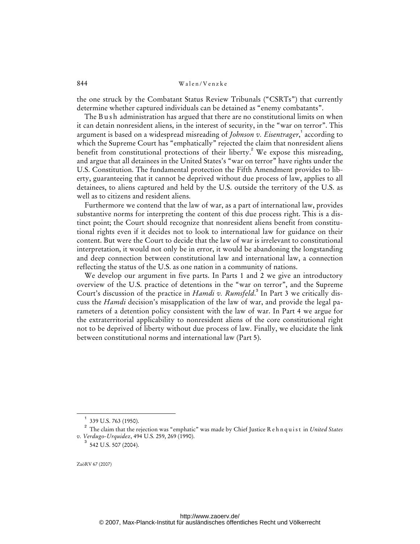the one struck by the Combatant Status Review Tribunals ("CSRTs") that currently determine whether captured individuals can be detained as "enemy combatants".

The B ush administration has argued that there are no constitutional limits on when it can detain nonresident aliens, in the interest of security, in the "war on terror". This argument is based on a widespread misreading of *Johnson v. Eisentrager*, 1 according to which the Supreme Court has "emphatically" rejected the claim that nonresident aliens benefit from constitutional protections of their liberty.<sup>2</sup> We expose this misreading, and argue that all detainees in the United States's "war on terror" have rights under the U.S. Constitution. The fundamental protection the Fifth Amendment provides to liberty, guaranteeing that it cannot be deprived without due process of law, applies to all detainees, to aliens captured and held by the U.S. outside the territory of the U.S. as well as to citizens and resident aliens.

Furthermore we contend that the law of war, as a part of international law, provides substantive norms for interpreting the content of this due process right. This is a distinct point; the Court should recognize that nonresident aliens benefit from constitutional rights even if it decides not to look to international law for guidance on their content. But were the Court to decide that the law of war is irrelevant to constitutional interpretation, it would not only be in error, it would be abandoning the longstanding and deep connection between constitutional law and international law, a connection reflecting the status of the U.S. as one nation in a community of nations.

We develop our argument in five parts. In Parts 1 and 2 we give an introductory overview of the U.S. practice of detentions in the "war on terror", and the Supreme Court's discussion of the practice in *Hamdi v. Rumsfeld*.<sup>3</sup> In Part 3 we critically discuss the *Hamdi* decision's misapplication of the law of war, and provide the legal parameters of a detention policy consistent with the law of war. In Part 4 we argue for the extraterritorial applicability to nonresident aliens of the core constitutional right not to be deprived of liberty without due process of law. Finally, we elucidate the link between constitutional norms and international law (Part 5).

<sup>1</sup> 339 U.S. 763 (1950).

<sup>2</sup> The claim that the rejection was "emphatic" was made by Chief Justice R e h n q u i s t in *United States v. Verdugo-Urquidez*, 494 U.S. 259, 269 (1990).

 $3$  542 U.S. 507 (2004).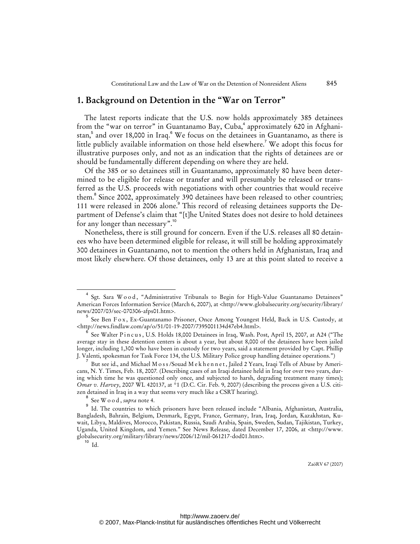# **1. Background on Detention in the "War on Terror"**

The latest reports indicate that the U.S. now holds approximately 385 detainees from the "war on terror" in Guantanamo Bay, Cuba,<sup>4</sup> approximately 620 in Afghanistan,<sup>5</sup> and over 18,000 in Iraq.<sup>6</sup> We focus on the detainees in Guantanamo, as there is little publicly available information on those held elsewhere.<sup>7</sup> We adopt this focus for illustrative purposes only, and not as an indication that the rights of detainees are or should be fundamentally different depending on where they are held.

Of the 385 or so detainees still in Guantanamo, approximately 80 have been determined to be eligible for release or transfer and will presumably be released or transferred as the U.S. proceeds with negotiations with other countries that would receive them.<sup>8</sup> Since 2002, approximately 390 detainees have been released to other countries; 111 were released in 2006 alone.<sup>9</sup> This record of releasing detainees supports the Department of Defense's claim that "[t]he United States does not desire to hold detainees for any longer than necessary".<sup>10</sup>

Nonetheless, there is still ground for concern. Even if the U.S. releases all 80 detainees who have been determined eligible for release, it will still be holding approximately 300 detainees in Guantanamo, not to mention the others held in Afghanistan, Iraq and most likely elsewhere. Of those detainees, only 13 are at this point slated to receive a

 $\frac{1}{4}$ Sgt. Sara Wood, "Administrative Tribunals to Begin for High-Value Guantanamo Detainees" American Forces Information Service (March 6, 2007), at [<http://www.globalsecurity.org/security/library/](http://www.globalsecurity.org/security/library/) news/2007/03/sec-070306-afps01.htm>.

<sup>&</sup>lt;sup>5</sup> See Ben Fox, Ex-Guantanamo Prisoner, Once Among Youngest Held, Back in U.S. Custody, at [<http://news.findlaw.com/ap/o/51/01-19-2007/7395001134d47eb4.html](http://news.findlaw.com/ap/o/51/01-19-2007/7395001134d47eb4.html)>.

<sup>6</sup> See Walter Pincus, U.S. Holds 18,000 Detainees in Iraq, Wash. Post, April 15, 2007, at A24 ("The average stay in these detention centers is about a year, but about 8,000 of the detainees have been jailed longer, including 1,300 who have been in custody for two years, said a statement provided by Capt. Phillip J. Valenti, spokesman for Task Force 134, the U.S. Military Police group handling detainee operations.")

<sup>7</sup> But see id., and Michael M o s s /Souad M e k h e n n e t, Jailed 2 Years, Iraqi Tells of Abuse by Americans, N. Y. Times, Feb. 18, 2007*.* (Describing cases of an Iraqi detainee held in Iraq for over two years, during which time he was questioned only once, and subjected to harsh, degrading treatment many times); *Omar v. Harvey*, 2007 WL 420137, at \*1 (D.C. Cir. Feb. 9, 2007) (describing the process given a U.S. citizen detained in Iraq in a way that seems very much like a CSRT hearing).

<sup>8</sup> See W o o d , *supra* note 4.

<sup>&</sup>lt;sup>9</sup> Id. The countries to which prisoners have been released include "Albania, Afghanistan, Australia, Bangladesh, Bahrain, Belgium, Denmark, Egypt, France, Germany, Iran, Iraq, Jordan, Kazakhstan, Kuwait, Libya, Maldives, Morocco, Pakistan, Russia, Saudi Arabia, Spain, Sweden, Sudan, Tajikistan, Turkey, Uganda, United Kingdom, and Yemen." See News Release, dated December 17, 2006, at [<http://www.](http://www) globalsecurity.org/military/library/news/2006/12/mil-061217-dod01.htm>.

 $10$  Id.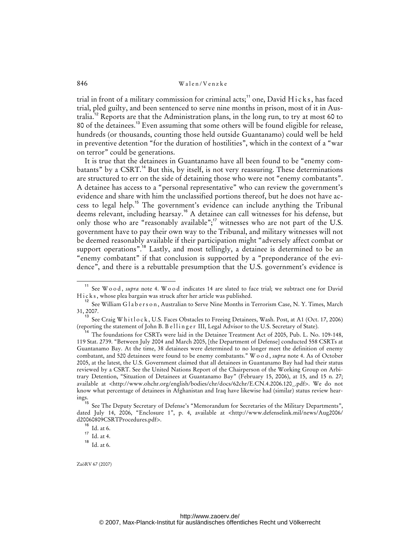trial in front of a military commission for criminal acts;<sup>11</sup> one, David Hicks, has faced trial, pled guilty, and been sentenced to serve nine months in prison, most of it in Australia.<sup>12</sup> Reports are that the Administration plans, in the long run, to try at most 60 to 80 of the detainees.<sup>13</sup> Even assuming that some others will be found eligible for release, hundreds (or thousands, counting those held outside Guantanamo) could well be held in preventive detention "for the duration of hostilities", which in the context of a "war on terror" could be generations.

It is true that the detainees in Guantanamo have all been found to be "enemy combatants" by a CSRT.<sup>14</sup> But this, by itself, is not very reassuring. These determinations are structured to err on the side of detaining those who were not "enemy combatants". A detainee has access to a "personal representative" who can review the government's evidence and share with him the unclassified portions thereof, but he does not have access to legal help.<sup>15</sup> The government's evidence can include anything the Tribunal deems relevant, including hearsay.<sup>16</sup> A detainee can call witnesses for his defense, but only those who are "reasonably available";<sup>17</sup> witnesses who are not part of the U.S. government have to pay their own way to the Tribunal, and military witnesses will not be deemed reasonably available if their participation might "adversely affect combat or support operations".<sup>18</sup> Lastly, and most tellingly, a detainee is determined to be an "enemy combatant" if that conclusion is supported by a "preponderance of the evidence", and there is a rebuttable presumption that the U.S. government's evidence is

<sup>&</sup>lt;sup>11</sup> See W o o d, *supra* note 4. W o o d indicates 14 are slated to face trial; we subtract one for David Hicks, whose plea bargain was struck after her article was published.

 $^{12}$  See William G l a b e r s o n , Australian to Serve Nine Months in Terrorism Case, N. Y. Times, March 31, 2007.

<sup>&</sup>lt;sup>13</sup> See Craig W h i t l o c k, U.S. Faces Obstacles to Freeing Detainees, Wash. Post, at A1 (Oct. 17, 2006) (reporting the statement of John B. B elling er III, Legal Advisor to the U.S. Secretary of State).

The foundations for CSRTs were laid in the Detainee Treatment Act of 2005, Pub. L. No. 109-148, 119 Stat. 2739. "Between July 2004 and March 2005, [the Department of Defense] conducted 558 CSRTs at Guantanamo Bay. At the time, 38 detainees were determined to no longer meet the definition of enemy combatant, and 520 detainees were found to be enemy combatants." W o o d , *supra* note 4. As of October 2005, at the latest, the U.S. Government claimed that all detainees in Guantanamo Bay had had their status reviewed by a CSRT. See the United Nations Report of the Chairperson of the Working Group on Arbitrary Detention, "Situation of Detainees at Guantanamo Bay" (February 15, 2006), at 15, and 15 n. 27; available at [<http://www.ohchr.org/english/bodies/chr/docs/62chr/E.CN.4.2006.120\\_.pdf](http://www.ohchr.org/english/bodies/chr/docs/62chr/E.CN.4.2006.120_.pdf)>. We do not know what percentage of detainees in Afghanistan and Iraq have likewise had (similar) status review hear- $\frac{1}{15}$ 

See The Deputy Secretary of Defense's "Memorandum for Secretaries of the Military Departments", dated July 14, 2006, "Enclosure 1", p. 4, available at [<http://www.defenselink.mil/news/Aug2006/](http://www.defenselink.mil/news/Aug2006/) d20060809CSRTProcedures.pdf>.

 $^{\rm 16}$  Id. at 6.

 $17 \text{ Id. at } 4.$ 

 $^{18}$  Id. at 6.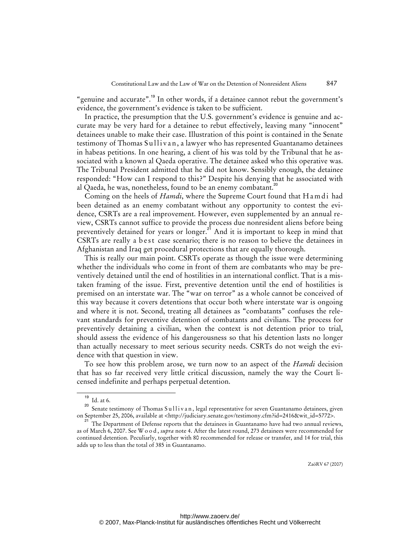"genuine and accurate".<sup>19</sup> In other words, if a detainee cannot rebut the government's evidence, the government's evidence is taken to be sufficient.

In practice, the presumption that the U.S. government's evidence is genuine and accurate may be very hard for a detainee to rebut effectively, leaving many "innocent" detainees unable to make their case. Illustration of this point is contained in the Senate testimony of Thomas Sullivan, a lawyer who has represented Guantanamo detainees in habeas petitions. In one hearing, a client of his was told by the Tribunal that he associated with a known al Qaeda operative. The detainee asked who this operative was. The Tribunal President admitted that he did not know. Sensibly enough, the detainee responded: "How can I respond to this?" Despite his denying that he associated with al Qaeda, he was, nonetheless, found to be an enemy combatant.<sup>20</sup>

Coming on the heels of *Hamdi*, where the Supreme Court found that H am di had been detained as an enemy combatant without any opportunity to contest the evidence, CSRTs are a real improvement. However, even supplemented by an annual review, CSRTs cannot suffice to provide the process due nonresident aliens before being preventively detained for years or longer.<sup>21</sup> And it is important to keep in mind that CSRTs are really a best case scenario; there is no reason to believe the detainees in Afghanistan and Iraq get procedural protections that are equally thorough.

This is really our main point. CSRTs operate as though the issue were determining whether the individuals who come in front of them are combatants who may be preventively detained until the end of hostilities in an international conflict. That is a mistaken framing of the issue. First, preventive detention until the end of hostilities is premised on an interstate war. The "war on terror" as a whole cannot be conceived of this way because it covers detentions that occur both where interstate war is ongoing and where it is not. Second, treating all detainees as "combatants" confuses the relevant standards for preventive detention of combatants and civilians. The process for preventively detaining a civilian, when the context is not detention prior to trial, should assess the evidence of his dangerousness so that his detention lasts no longer than actually necessary to meet serious security needs. CSRTs do not weigh the evidence with that question in view.

To see how this problem arose, we turn now to an aspect of the *Hamdi* decision that has so far received very little critical discussion, namely the way the Court licensed indefinite and perhaps perpetual detention.

 $19$  Id. at 6.

<sup>&</sup>lt;sup>20</sup> Senate testimony of Thomas Sullivan, legal representative for seven Guantanamo detainees, given on September 25, 2006, available at [<http://judiciary.senate.gov/testimony.cfm?id=2416&wit\\_id=5772](http://judiciary.senate.gov/testimony.cfm?id=2416&wit_id=5772)>.

<sup>&</sup>lt;sup>21</sup> The Department of Defense reports that the detainees in Guantanamo have had two annual reviews, as of March 6, 2007. See W o o d , *supra* note 4. After the latest round, 273 detainees were recommended for continued detention. Peculiarly, together with 80 recommended for release or transfer, and 14 for trial, this adds up to less than the total of 385 in Guantanamo.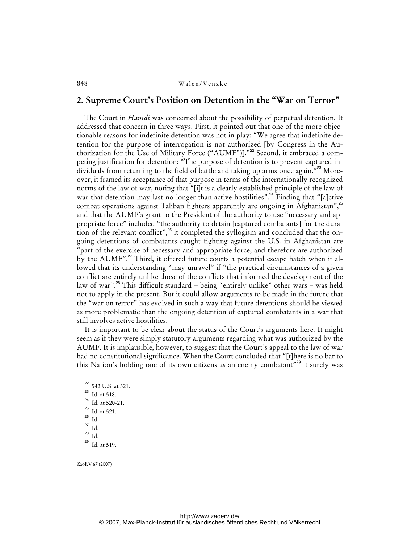# **2. Supreme Court's Position on Detention in the "War on Terror"**

The Court in *Hamdi* was concerned about the possibility of perpetual detention. It addressed that concern in three ways. First, it pointed out that one of the more objectionable reasons for indefinite detention was not in play: "We agree that indefinite detention for the purpose of interrogation is not authorized [by Congress in the Authorization for the Use of Military Force ("AUMF")]."<sup>22</sup> Second, it embraced a competing justification for detention: "The purpose of detention is to prevent captured individuals from returning to the field of battle and taking up arms once again."<sup>23</sup> Moreover, it framed its acceptance of that purpose in terms of the internationally recognized norms of the law of war, noting that "[i]t is a clearly established principle of the law of war that detention may last no longer than active hostilities".<sup>24</sup> Finding that "[a]ctive combat operations against Taliban fighters apparently are ongoing in Afghanistan", $25$ and that the AUMF's grant to the President of the authority to use "necessary and appropriate force" included "the authority to detain [captured combatants] for the duration of the relevant conflict",<sup>26</sup> it completed the syllogism and concluded that the ongoing detentions of combatants caught fighting against the U.S. in Afghanistan are 'part of the exercise of necessary and appropriate force, and therefore are authorized by the AUMF".<sup>27</sup> Third, it offered future courts a potential escape hatch when it allowed that its understanding "may unravel" if "the practical circumstances of a given conflict are entirely unlike those of the conflicts that informed the development of the law of war".<sup>28</sup> This difficult standard – being "entirely unlike" other wars – was held not to apply in the present. But it could allow arguments to be made in the future that the "war on terror" has evolved in such a way that future detentions should be viewed as more problematic than the ongoing detention of captured combatants in a war that still involves active hostilities.

It is important to be clear about the status of the Court's arguments here. It might seem as if they were simply statutory arguments regarding what was authorized by the AUMF. It is implausible, however, to suggest that the Court's appeal to the law of war had no constitutional significance. When the Court concluded that "[t]here is no bar to this Nation's holding one of its own citizens as an enemy combatant"<sup>29</sup> it surely was

 $Id.$ 

<sup>&</sup>lt;sup>22</sup> 542 U.S. at 521.

<sup>23</sup> Id. at 518.

 $^{24}$  Id. at 520-21.

 $\frac{25}{26}$  Id. at 521.

 $rac{26}{27}$  Id.

 $rac{27}{28}$  Id.

<sup>29</sup> Id. at 519.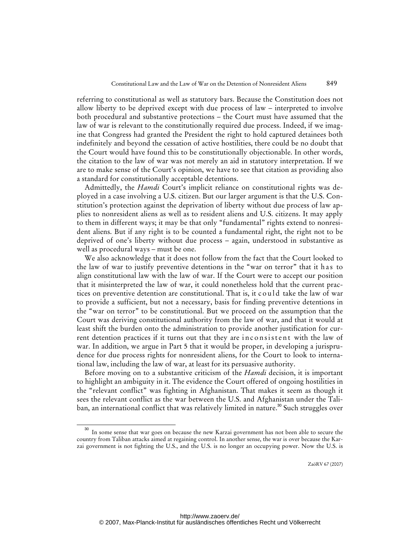referring to constitutional as well as statutory bars. Because the Constitution does not allow liberty to be deprived except with due process of law – interpreted to involve both procedural and substantive protections – the Court must have assumed that the law of war is relevant to the constitutionally required due process. Indeed, if we imagine that Congress had granted the President the right to hold captured detainees both indefinitely and beyond the cessation of active hostilities, there could be no doubt that the Court would have found this to be constitutionally objectionable. In other words, the citation to the law of war was not merely an aid in statutory interpretation. If we are to make sense of the Court's opinion, we have to see that citation as providing also a standard for constitutionally acceptable detentions.

Admittedly, the *Hamdi* Court's implicit reliance on constitutional rights was deployed in a case involving a U.S. citizen. But our larger argument is that the U.S. Constitution's protection against the deprivation of liberty without due process of law applies to nonresident aliens as well as to resident aliens and U.S. citizens. It may apply to them in different ways; it may be that only "fundamental" rights extend to nonresident aliens. But if any right is to be counted a fundamental right, the right not to be deprived of one's liberty without due process – again, understood in substantive as well as procedural ways – must be one.

We also acknowledge that it does not follow from the fact that the Court looked to the law of war to justify preventive detentions in the "war on terror" that it has to align constitutional law with the law of war. If the Court were to accept our position that it misinterpreted the law of war, it could nonetheless hold that the current practices on preventive detention are constitutional. That is, it c ould take the law of war to provide a sufficient, but not a necessary, basis for finding preventive detentions in the "war on terror" to be constitutional. But we proceed on the assumption that the Court was deriving constitutional authority from the law of war, and that it would at least shift the burden onto the administration to provide another justification for current detention practices if it turns out that they are inconsistent with the law of war. In addition, we argue in Part 5 that it would be proper, in developing a jurisprudence for due process rights for nonresident aliens, for the Court to look to international law, including the law of war, at least for its persuasive authority.

Before moving on to a substantive criticism of the *Hamdi* decision, it is important to highlight an ambiguity in it. The evidence the Court offered of ongoing hostilities in the "relevant conflict" was fighting in Afghanistan. That makes it seem as though it sees the relevant conflict as the war between the U.S. and Afghanistan under the Taliban, an international conflict that was relatively limited in nature.<sup>30</sup> Such struggles over

In some sense that war goes on because the new Karzai government has not been able to secure the country from Taliban attacks aimed at regaining control. In another sense, the war is over because the Karzai government is not fighting the U.S., and the U.S. is no longer an occupying power. Now the U.S. is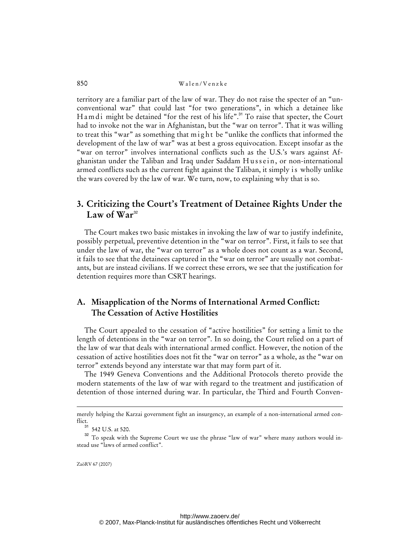territory are a familiar part of the law of war. They do not raise the specter of an "unconventional war" that could last "for two generations", in which a detainee like Ham di might be detained "for the rest of his life".<sup>31</sup> To raise that specter, the Court had to invoke not the war in Afghanistan, but the "war on terror". That it was willing to treat this "war" as something that might be "unlike the conflicts that informed the development of the law of war" was at best a gross equivocation. Except insofar as the "war on terror" involves international conflicts such as the U.S.'s wars against Afghanistan under the Taliban and Iraq under Saddam Hussein, or non-international armed conflicts such as the current fight against the Taliban, it simply is wholly unlike the wars covered by the law of war. We turn, now, to explaining why that is so.

# **3. Criticizing the Court's Treatment of Detainee Rights Under the**  Law of  $\text{War}^{32}$

The Court makes two basic mistakes in invoking the law of war to justify indefinite, possibly perpetual, preventive detention in the "war on terror". First, it fails to see that under the law of war, the "war on terror" as a whole does not count as a war. Second, it fails to see that the detainees captured in the "war on terror" are usually not combatants, but are instead civilians. If we correct these errors, we see that the justification for detention requires more than CSRT hearings.

# **A. Misapplication of the Norms of International Armed Conflict: The Cessation of Active Hostilities**

The Court appealed to the cessation of "active hostilities" for setting a limit to the length of detentions in the "war on terror". In so doing, the Court relied on a part of the law of war that deals with international armed conflict. However, the notion of the cessation of active hostilities does not fit the "war on terror" as a whole, as the "war on terror" extends beyond any interstate war that may form part of it.

The 1949 Geneva Conventions and the Additional Protocols thereto provide the modern statements of the law of war with regard to the treatment and justification of detention of those interned during war. In particular, the Third and Fourth Conven-

ZaöRV 67 (2007)

-

merely helping the Karzai government fight an insurgency, an example of a non-international armed conflict.

<sup>542</sup> U.S. at 520.

<sup>&</sup>lt;sup>32</sup> To speak with the Supreme Court we use the phrase "law of war" where many authors would instead use "laws of armed conflict".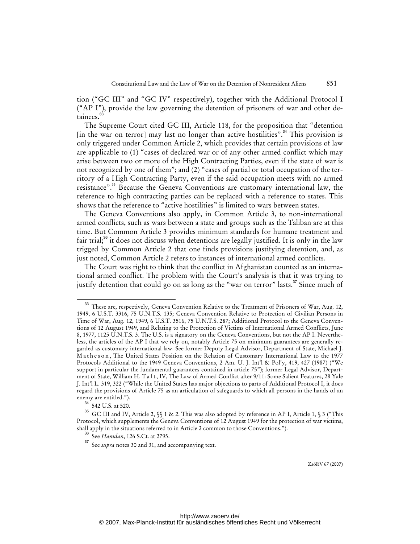tion ("GC III" and "GC IV" respectively), together with the Additional Protocol I ("AP I"), provide the law governing the detention of prisoners of war and other detainees.<sup>3</sup>

The Supreme Court cited GC III, Article 118, for the proposition that "detention  $\left[ \text{in the war on terror} \right]$  may last no longer than active hostilities".<sup>34</sup> This provision is only triggered under Common Article 2, which provides that certain provisions of law are applicable to (1) "cases of declared war or of any other armed conflict which may arise between two or more of the High Contracting Parties, even if the state of war is not recognized by one of them"; and (2) "cases of partial or total occupation of the territory of a High Contracting Party, even if the said occupation meets with no armed resistance".<sup>35</sup> Because the Geneva Conventions are customary international law, the reference to high contracting parties can be replaced with a reference to states. This shows that the reference to "active hostilities" is limited to wars between states.

The Geneva Conventions also apply, in Common Article 3, to non-international armed conflicts, such as wars between a state and groups such as the Taliban are at this time. But Common Article 3 provides minimum standards for humane treatment and fair trial;<sup>36</sup> it does not discuss when detentions are legally justified. It is only in the law trigged by Common Article 2 that one finds provisions justifying detention, and, as just noted, Common Article 2 refers to instances of international armed conflicts.

The Court was right to think that the conflict in Afghanistan counted as an international armed conflict. The problem with the Court's analysis is that it was trying to justify detention that could go on as long as the "war on terror" lasts.<sup>37</sup> Since much of

542 U.S. at 520.

<sup>33</sup> These are, respectively, Geneva Convention Relative to the Treatment of Prisoners of War, Aug. 12, 1949, 6 U.S.T. 3316, 75 U.N.T.S. 135; Geneva Convention Relative to Protection of Civilian Persons in Time of War, Aug. 12, 1949, 6 U.S.T. 3516, 75 U.N.T.S. 287; Additional Protocol to the Geneva Conventions of 12 August 1949, and Relating to the Protection of Victims of International Armed Conflicts, June 8, 1977, 1125 U.N.T.S. 3. The U.S. is a signatory on the Geneva Conventions, but not the AP I. Nevertheless, the articles of the AP I that we rely on, notably Article 75 on minimum guarantees are generally regarded as customary international law. See former Deputy Legal Advisor, Department of State, Michael J. Matheson, The United States Position on the Relation of Customary International Law to the 1977 Protocols Additional to the 1949 Geneva Conventions, 2 Am. U. J. Int'l & Pol'y, 419, 427 (1987) ("We support in particular the fundamental guarantees contained in article 75"); former Legal Advisor, Department of State, William H. T a f t, IV, The Law of Armed Conflict after 9/11: Some Salient Features, 28 Yale J. Int'l L. 319, 322 ("While the United States has major objections to parts of Additional Protocol I, it does regard the provisions of Article 75 as an articulation of safeguards to which all persons in the hands of an enemy are entitled.").

<sup>35</sup> GC III and IV, Article 2, §§ 1 & 2. This was also adopted by reference in AP I, Article 1, § 3 ("This Protocol, which supplements the Geneva Conventions of 12 August 1949 for the protection of war victims, shall apply in the situations referred to in Article 2 common to those Conventions.").

<sup>36</sup> See *Hamdan*, 126 S.Ct. at 2795.

<sup>37</sup> See *supra* notes 30 and 31, and accompanying text.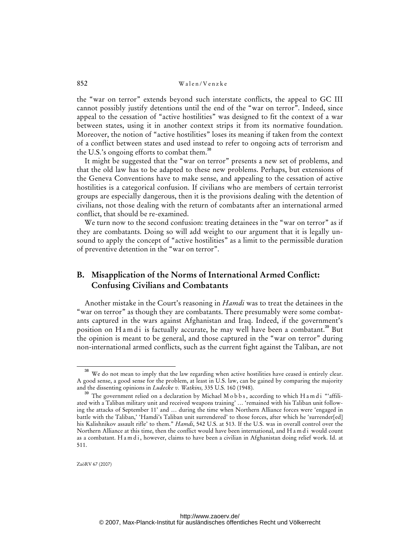the "war on terror" extends beyond such interstate conflicts, the appeal to GC III cannot possibly justify detentions until the end of the "war on terror". Indeed, since appeal to the cessation of "active hostilities" was designed to fit the context of a war between states, using it in another context strips it from its normative foundation. Moreover, the notion of "active hostilities" loses its meaning if taken from the context of a conflict between states and used instead to refer to ongoing acts of terrorism and the U.S.'s ongoing efforts to combat them.<sup>38</sup>

It might be suggested that the "war on terror" presents a new set of problems, and that the old law has to be adapted to these new problems. Perhaps, but extensions of the Geneva Conventions have to make sense, and appealing to the cessation of active hostilities is a categorical confusion. If civilians who are members of certain terrorist groups are especially dangerous, then it is the provisions dealing with the detention of civilians, not those dealing with the return of combatants after an international armed conflict, that should be re-examined.

We turn now to the second confusion: treating detainees in the "war on terror" as if they are combatants. Doing so will add weight to our argument that it is legally unsound to apply the concept of "active hostilities" as a limit to the permissible duration of preventive detention in the "war on terror".

# **B. Misapplication of the Norms of International Armed Conflict: Confusing Civilians and Combatants**

Another mistake in the Court's reasoning in *Hamdi* was to treat the detainees in the "war on terror" as though they are combatants. There presumably were some combatants captured in the wars against Afghanistan and Iraq. Indeed, if the government's position on H a m d i is factually accurate, he may well have been a combatant.<sup>39</sup> But the opinion is meant to be general, and those captured in the "war on terror" during non-international armed conflicts, such as the current fight against the Taliban, are not

<sup>&</sup>lt;sup>38</sup> We do not mean to imply that the law regarding when active hostilities have ceased is entirely clear. A good sense, a good sense for the problem, at least in U.S. law, can be gained by comparing the majority and the dissenting opinions in *Ludecke v. Watkins,* 335 U.S. 160 (1948).

<sup>&</sup>lt;sup>39</sup> The government relied on a declaration by Michael M o b b s, according to which H a m d i "affiliated with a Taliban military unit and received weapons training' … 'remained with his Taliban unit following the attacks of September 11' and … during the time when Northern Alliance forces were 'engaged in battle with the Taliban,' 'Hamdi's Taliban unit surrendered' to those forces, after which he 'surrender[ed] his Kalishnikov assault rifle' to them." *Hamdi*, 542 U.S. at 513. If the U.S. was in overall control over the Northern Alliance at this time, then the conflict would have been international, and H a m d i would count as a combatant. H a m d i, however, claims to have been a civilian in Afghanistan doing relief work. Id. at 511.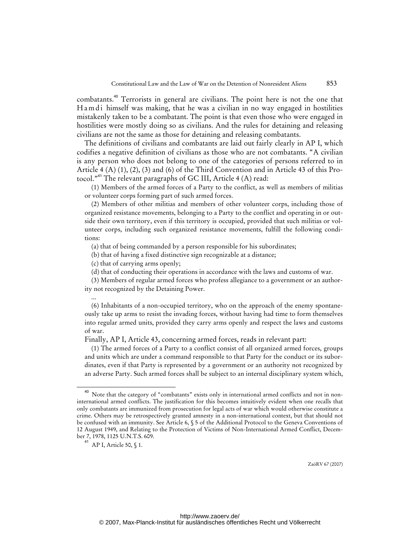combatants.<sup>40</sup> Terrorists in general are civilians. The point here is not the one that H a m d i himself was making, that he was a civilian in no way engaged in hostilities mistakenly taken to be a combatant. The point is that even those who were engaged in hostilities were mostly doing so as civilians. And the rules for detaining and releasing civilians are not the same as those for detaining and releasing combatants.

The definitions of civilians and combatants are laid out fairly clearly in AP I, which codifies a negative definition of civilians as those who are not combatants. "A civilian is any person who does not belong to one of the categories of persons referred to in Article 4 (A) (1), (2), (3) and (6) of the Third Convention and in Article 43 of this Protocol."<sup>41</sup> The relevant paragraphs of GC III, Article 4 (A) read:

(1) Members of the armed forces of a Party to the conflict, as well as members of militias or volunteer corps forming part of such armed forces.

(2) Members of other militias and members of other volunteer corps, including those of organized resistance movements, belonging to a Party to the conflict and operating in or outside their own territory, even if this territory is occupied, provided that such militias or volunteer corps, including such organized resistance movements, fulfill the following conditions:

(a) that of being commanded by a person responsible for his subordinates;

(b) that of having a fixed distinctive sign recognizable at a distance;

(c) that of carrying arms openly;

(d) that of conducting their operations in accordance with the laws and customs of war.

(3) Members of regular armed forces who profess allegiance to a government or an authority not recognized by the Detaining Power.

(6) Inhabitants of a non-occupied territory, who on the approach of the enemy spontaneously take up arms to resist the invading forces, without having had time to form themselves into regular armed units, provided they carry arms openly and respect the laws and customs of war.

Finally, AP I, Article 43, concerning armed forces, reads in relevant part:

(1) The armed forces of a Party to a conflict consist of all organized armed forces, groups and units which are under a command responsible to that Party for the conduct or its subordinates, even if that Party is represented by a government or an authority not recognized by an adverse Party. Such armed forces shall be subject to an internal disciplinary system which,

...

<sup>&</sup>lt;sup>40</sup> Note that the category of "combatants" exists only in international armed conflicts and not in noninternational armed conflicts. The justification for this becomes intuitively evident when one recalls that only combatants are immunized from prosecution for legal acts of war which would otherwise constitute a crime. Others may be retrospectively granted amnesty in a non-international context, but that should not be confused with an immunity. See Article 6, § 5 of the Additional Protocol to the Geneva Conventions of 12 August 1949, and Relating to the Protection of Victims of Non-International Armed Conflict, December 7, 1978, 1125 U.N.T.S. 609.

<sup>41</sup> AP I, Article 50, § 1.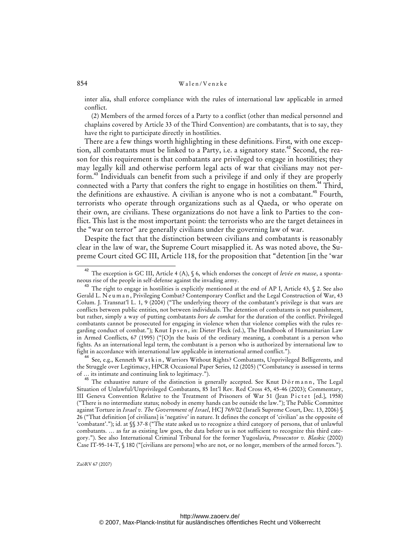inter alia, shall enforce compliance with the rules of international law applicable in armed conflict.

(2) Members of the armed forces of a Party to a conflict (other than medical personnel and chaplains covered by Article 33 of the Third Convention) are combatants, that is to say, they have the right to participate directly in hostilities.

There are a few things worth highlighting in these definitions. First, with one exception, all combatants must be linked to a Party, i.e. a signatory state.<sup>42</sup> Second, the reason for this requirement is that combatants are privileged to engage in hostilities; they may legally kill and otherwise perform legal acts of war that civilians may not perform.<sup>43</sup> Individuals can benefit from such a privilege if and only if they are properly connected with a Party that confers the right to engage in hostilities on them.<sup>44</sup> Third, the definitions are exhaustive. A civilian is anyone who is not a combatant.<sup>45</sup> Fourth, terrorists who operate through organizations such as al Qaeda, or who operate on their own, are civilians. These organizations do not have a link to Parties to the conflict. This last is the most important point: the terrorists who are the target detainees in the "war on terror" are generally civilians under the governing law of war.

Despite the fact that the distinction between civilians and combatants is reasonably clear in the law of war, the Supreme Court misapplied it. As was noted above, the Supreme Court cited GC III, Article 118, for the proposition that "detention [in the 'war

<sup>44</sup> See, e.g., Kenneth W a t k i n, Warriors Without Rights? Combatants, Unprivileged Belligerents, and the Struggle over Legitimacy, HPCR Occasional Paper Series, 12 (2005) ("Combatancy is assessed in terms of … its intimate and continuing link to legitimacy.").

The exhaustive nature of the distinction is generally accepted. See Knut Dörmann, The Legal Situation of Unlawful/Unprivileged Combatants, 85 Int'l Rev. Red Cross 45, 45-46 (2003); Commentary, III Geneva Convention Relative to the Treatment of Prisoners of War 51 (Jean Pictet [ed.], 1958) ("There is no intermediate status; nobody in enemy hands can be outside the law."); The Public Committee against Torture in *Israel v. The Government of Israel*, HCJ 769/02 (Israeli Supreme Court, Dec. 13, 2006) § 26 ("That definition [of civilians] is 'negative' in nature. It defines the concept of 'civilian' as the opposite of 'combatant'."); id. at §§ 37-8 ("The state asked us to recognize a third category of persons, that of unlawful combatants. … as far as existing law goes, the data before us is not sufficient to recognize this third category."). See also International Criminal Tribunal for the former Yugoslavia, *Prosecutor v. Blaskic* (2000) Case IT-95-14-T, § 180 ("[civilians are persons] who are not, or no longer, members of the armed forces.").

The exception is GC III, Article 4 (A), § 6, which endorses the concept of *levée en masse*, a spontaneous rise of the people in self-defense against the invading army.

<sup>&</sup>lt;sup>43</sup> The right to engage in hostilities is explicitly mentioned at the end of AP I, Article 43, § 2. See also Gerald L. N e u m a n , Privileging Combat? Contemporary Conflict and the Legal Construction of War, 43 Colum. J. Transnat'l L. 1, 9 (2004) ("The underlying theory of the combatant's privilege is that wars are conflicts between public entities, not between individuals. The detention of combatants is not punishment, but rather, simply a way of putting combatants *hors de combat* for the duration of the conflict. Privileged combatants cannot be prosecuted for engaging in violence when that violence complies with the rules regarding conduct of combat."); Knut I p s e n , in: Dieter Fleck (ed.), The Handbook of Humanitarian Law in Armed Conflicts, 67 (1995) ("[O]n the basis of the ordinary meaning, a combatant is a person who fights. As an international legal term, the combatant is a person who is authorized by international law to fight in accordance with international law applicable in international armed conflict.").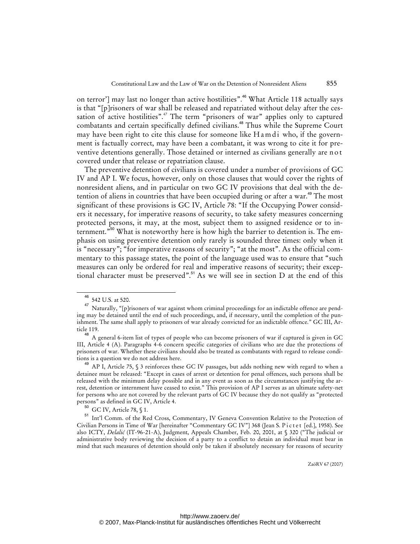on terror'] may last no longer than active hostilities".<sup>46</sup> What Article 118 actually says is that "[p]risoners of war shall be released and repatriated without delay after the cessation of active hostilities".<sup>47</sup> The term "prisoners of war" applies only to captured combatants and certain specifically defined civilians.<sup>48</sup> Thus while the Supreme Court may have been right to cite this clause for someone like H a m d i who, if the government is factually correct, may have been a combatant, it was wrong to cite it for preventive detentions generally. Those detained or interned as civilians generally are n o t covered under that release or repatriation clause.

The preventive detention of civilians is covered under a number of provisions of GC IV and AP I. We focus, however, only on those clauses that would cover the rights of nonresident aliens, and in particular on two GC IV provisions that deal with the detention of aliens in countries that have been occupied during or after a war.<sup>49</sup> The most significant of these provisions is GC IV, Article 78: "If the Occupying Power considers it necessary, for imperative reasons of security, to take safety measures concerning protected persons, it may, at the most, subject them to assigned residence or to internment.<sup>"50</sup> What is noteworthy here is how high the barrier to detention is. The emphasis on using preventive detention only rarely is sounded three times: only when it is "necessary"; "for imperative reasons of security"; "at the most". As the official commentary to this passage states, the point of the language used was to ensure that "such measures can only be ordered for real and imperative reasons of security; their exceptional character must be preserved".<sup>51</sup> As we will see in section D at the end of this

<sup>46</sup> 542 U.S. at 520.

<sup>47</sup> Naturally, "[p]risoners of war against whom criminal proceedings for an indictable offence are pending may be detained until the end of such proceedings, and, if necessary, until the completion of the punishment. The same shall apply to prisoners of war already convicted for an indictable offence." GC III, Article 119.

<sup>&</sup>lt;sup>48</sup> A general 6-item list of types of people who can become prisoners of war if captured is given in GC III, Article 4 (A). Paragraphs 4-6 concern specific categories of civilians who are due the protections of prisoners of war. Whether these civilians should also be treated as combatants with regard to release conditions is a question we do not address here.

AP I, Article 75, § 3 reinforces these GC IV passages, but adds nothing new with regard to when a detainee must be released: "Except in cases of arrest or detention for penal offences, such persons shall be released with the minimum delay possible and in any event as soon as the circumstances justifying the arrest, detention or internment have ceased to exist." This provision of AP I serves as an ultimate safety-net for persons who are not covered by the relevant parts of GC IV because they do not qualify as "protected persons" as defined in GC IV, Article 4.

 $^{50}$  GC IV, Article 78, § 1.

<sup>51</sup> Int'l Comm. of the Red Cross, Commentary, IV Geneva Convention Relative to the Protection of Civilian Persons in Time of War [hereinafter "Commentary GC IV"] 368 (Jean S. Pictet [ed.], 1958). See also ICTY, *Delalić* (IT-96-21-A), Judgment, Appeals Chamber, Feb. 20, 2001, at § 320 ("The judicial or administrative body reviewing the decision of a party to a conflict to detain an individual must bear in mind that such measures of detention should only be taken if absolutely necessary for reasons of security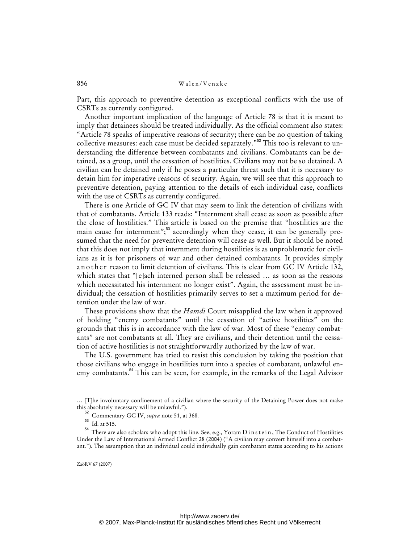Part, this approach to preventive detention as exceptional conflicts with the use of CSRTs as currently configured.

Another important implication of the language of Article 78 is that it is meant to imply that detainees should be treated individually. As the official comment also states: "Article 78 speaks of imperative reasons of security; there can be no question of taking collective measures: each case must be decided separately."<sup>52</sup> This too is relevant to understanding the difference between combatants and civilians. Combatants can be detained, as a group, until the cessation of hostilities. Civilians may not be so detained. A civilian can be detained only if he poses a particular threat such that it is necessary to detain him for imperative reasons of security. Again, we will see that this approach to preventive detention, paying attention to the details of each individual case, conflicts with the use of CSRTs as currently configured.

There is one Article of GC IV that may seem to link the detention of civilians with that of combatants. Article 133 reads: "Internment shall cease as soon as possible after the close of hostilities." This article is based on the premise that "hostilities are the main cause for internment";<sup>53</sup> accordingly when they cease, it can be generally presumed that the need for preventive detention will cease as well. But it should be noted that this does not imply that internment during hostilities is as unproblematic for civilians as it is for prisoners of war and other detained combatants. It provides simply an o the r reason to limit detention of civilians. This is clear from GC IV Article 132, which states that "[e]ach interned person shall be released … as soon as the reasons which necessitated his internment no longer exist". Again, the assessment must be individual; the cessation of hostilities primarily serves to set a maximum period for detention under the law of war.

These provisions show that the *Hamdi* Court misapplied the law when it approved of holding "enemy combatants" until the cessation of "active hostilities" on the grounds that this is in accordance with the law of war. Most of these "enemy combatants" are not combatants at all. They are civilians, and their detention until the cessation of active hostilities is not straightforwardly authorized by the law of war.

The U.S. government has tried to resist this conclusion by taking the position that those civilians who engage in hostilities turn into a species of combatant, unlawful enemy combatants.<sup>54</sup> This can be seen, for example, in the remarks of the Legal Advisor

-

<sup>… [</sup>T]he involuntary confinement of a civilian where the security of the Detaining Power does not make this absolutely necessary will be unlawful.").

<sup>52</sup> Commentary GC IV, *supra* note 51, at 368.

 $53$  Id. at 515.

<sup>54</sup> There are also scholars who adopt this line. See, e.g., Yoram D i n s t e i n , The Conduct of Hostilities Under the Law of International Armed Conflict 28 (2004) ("A civilian may convert himself into a combatant."). The assumption that an individual could individually gain combatant status according to his actions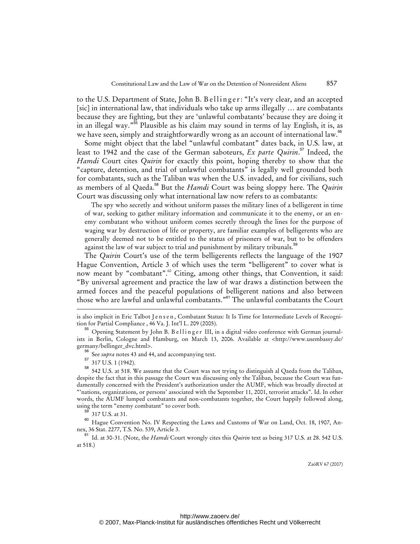to the U.S. Department of State, John B. B ellinger: "It's very clear, and an accepted [sic] in international law, that individuals who take up arms illegally … are combatants because they are fighting, but they are 'unlawful combatants' because they are doing it in an illegal way."<sup>55</sup> Plausible as his claim may sound in terms of lay English, it is, as we have seen, simply and straightforwardly wrong as an account of international law.<sup>56</sup>

Some might object that the label "unlawful combatant" dates back, in U.S. law, at least to 1942 and the case of the German saboteurs, *Ex parte Quirin*. <sup>57</sup> Indeed, the *Hamdi* Court cites *Quirin* for exactly this point, hoping thereby to show that the "capture, detention, and trial of unlawful combatants" is legally well grounded both for combatants, such as the Taliban was when the U.S. invaded, and for civilians, such as members of al Qaeda.<sup>58</sup> But the *Hamdi* Court was being sloppy here. The *Quirin* Court was discussing only what international law now refers to as combatants:

The spy who secretly and without uniform passes the military lines of a belligerent in time of war, seeking to gather military information and communicate it to the enemy, or an enemy combatant who without uniform comes secretly through the lines for the purpose of waging war by destruction of life or property, are familiar examples of belligerents who are generally deemed not to be entitled to the status of prisoners of war, but to be offenders against the law of war subject to trial and punishment by military tribunals.<sup>39</sup>

The *Quirin* Court's use of the term belligerents reflects the language of the 1907 Hague Convention, Article 3 of which uses the term "belligerent" to cover what is now meant by "combatant".<sup>60</sup> Citing, among other things, that Convention, it said: "By universal agreement and practice the law of war draws a distinction between the armed forces and the peaceful populations of belligerent nations and also between those who are lawful and unlawful combatants."<sup>61</sup> The unlawful combatants the Court

-

is also implicit in Eric Talbot J e n s e n, Combatant Status: It Is Time for Intermediate Levels of Recognition for Partial Compliance , 46 Va. J. Int'l L. 209 (2005).

Opening Statement by John B. B e llinger III, in a digital video conference with German journalists in Berlin, Cologne and Hamburg, on March 13, 2006. Available at <<http://www.usembassy.de/> germany/bellinger\_dvc.html>.

See *supra* notes 43 and 44, and accompanying text.

 $\frac{57}{58}$  317 U.S. 1 (1942).

<sup>58</sup> 542 U.S. at 518. We assume that the Court was not trying to distinguish al Qaeda from the Taliban, despite the fact that in this passage the Court was discussing only the Taliban, because the Court was fundamentally concerned with the President's authorization under the AUMF, which was broadly directed at "'nations, organizations, or persons' associated with the September 11, 2001, terrorist attacks". Id. In other words, the AUMF lumped combatants and non-combatants together, the Court happily followed along, using the term "enemy combatant" to cover both.

<sup>317</sup> U.S. at 31.

<sup>&</sup>lt;sup>60</sup> Hague Convention No. IV Respecting the Laws and Customs of War on Land, Oct. 18, 1907, Annex, 36 Stat. 2277, T.S. No. 539, Article 3.

<sup>&</sup>lt;sup>1</sup> Id. at 30-31. (Note, the *Hamdi* Court wrongly cites this *Quirin* text as being 317 U.S. at 28. 542 U.S. at 518.)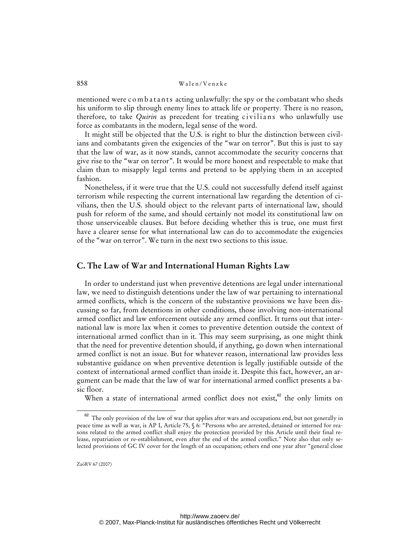mentioned were c o m b a t a n t s acting unlawfully: the spy or the combatant who sheds his uniform to slip through enemy lines to attack life or property*.* There is no reason, therefore, to take *Quirin* as precedent for treating civilians who unlawfully use force as combatants in the modern, legal sense of the word.

It might still be objected that the U.S. is right to blur the distinction between civilians and combatants given the exigencies of the "war on terror". But this is just to say that the law of war, as it now stands, cannot accommodate the security concerns that give rise to the "war on terror". It would be more honest and respectable to make that claim than to misapply legal terms and pretend to be applying them in an accepted fashion.

Nonetheless, if it were true that the U.S. could not successfully defend itself against terrorism while respecting the current international law regarding the detention of civilians, then the U.S. should object to the relevant parts of international law, should push for reform of the same, and should certainly not model its constitutional law on those unserviceable clauses. But before deciding whether this is true, one must first have a clearer sense for what international law can do to accommodate the exigencies of the "war on terror". We turn in the next two sections to this issue.

#### **C. The Law of War and International Human Rights Law**

In order to understand just when preventive detentions are legal under international law, we need to distinguish detentions under the law of war pertaining to international armed conflicts, which is the concern of the substantive provisions we have been discussing so far, from detentions in other conditions, those involving non-international armed conflict and law enforcement outside any armed conflict. It turns out that international law is more lax when it comes to preventive detention outside the context of international armed conflict than in it. This may seem surprising, as one might think that the need for preventive detention should, if anything, go down when international armed conflict is not an issue. But for whatever reason, international law provides less substantive guidance on when preventive detention is legally justifiable outside of the context of international armed conflict than inside it. Despite this fact, however, an argument can be made that the law of war for international armed conflict presents a basic floor.

When a state of international armed conflict does not exist, $62$  the only limits on

<sup>&</sup>lt;sup>62</sup> The only provision of the law of war that applies after wars and occupations end, but not generally in peace time as well as war, is AP I, Article 75, § 6: "Persons who are arrested, detained or interned for reasons related to the armed conflict shall enjoy the protection provided by this Article until their final release, repatriation or re-establishment, even after the end of the armed conflict." Note also that only selected provisions of GC IV cover for the length of an occupation; others end one year after "general close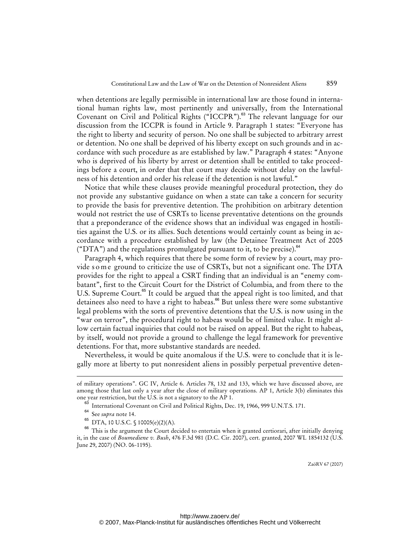when detentions are legally permissible in international law are those found in international human rights law, most pertinently and universally, from the International Covenant on Civil and Political Rights ("ICCPR").<sup>63</sup> The relevant language for our discussion from the ICCPR is found in Article 9. Paragraph 1 states: "Everyone has the right to liberty and security of person. No one shall be subjected to arbitrary arrest or detention. No one shall be deprived of his liberty except on such grounds and in accordance with such procedure as are established by law." Paragraph 4 states: "Anyone who is deprived of his liberty by arrest or detention shall be entitled to take proceedings before a court, in order that that court may decide without delay on the lawfulness of his detention and order his release if the detention is not lawful."

Notice that while these clauses provide meaningful procedural protection, they do not provide any substantive guidance on when a state can take a concern for security to provide the basis for preventive detention. The prohibition on arbitrary detention would not restrict the use of CSRTs to license preventative detentions on the grounds that a preponderance of the evidence shows that an individual was engaged in hostilities against the U.S. or its allies. Such detentions would certainly count as being in accordance with a procedure established by law (the Detainee Treatment Act of 2005 ("DTA") and the regulations promulgated pursuant to it, to be precise). $64$ 

Paragraph 4, which requires that there be some form of review by a court, may provide s o m e ground to criticize the use of CSRTs, but not a significant one. The DTA provides for the right to appeal a CSRT finding that an individual is an "enemy combatant", first to the Circuit Court for the District of Columbia, and from there to the U.S. Supreme Court.<sup>65</sup> It could be argued that the appeal right is too limited, and that detainees also need to have a right to habeas.<sup>66</sup> But unless there were some substantive legal problems with the sorts of preventive detentions that the U.S. is now using in the "war on terror", the procedural right to habeas would be of limited value. It might allow certain factual inquiries that could not be raised on appeal. But the right to habeas, by itself, would not provide a ground to challenge the legal framework for preventive detentions. For that, more substantive standards are needed.

Nevertheless, it would be quite anomalous if the U.S. were to conclude that it is legally more at liberty to put nonresident aliens in possibly perpetual preventive deten-

-

of military operations". GC IV, Article 6. Articles 78, 132 and 133, which we have discussed above, are among those that last only a year after the close of military operations. AP 1, Article 3(b) eliminates this one year restriction, but the U.S. is not a signatory to the AP 1.

 $^{63}$  International Covenant on Civil and Political Rights, Dec. 19, 1966, 999 U.N.T.S. 171.<br> $^{64}$  See suited note 14.

 $^{64}$  See *supra* note 14.<br><sup>65</sup> DTA 10 USC S

DTA, 10 U.S.C. § 10005(e)(2)(A).

<sup>&</sup>lt;sup>66</sup> This is the argument the Court decided to entertain when it granted certiorari, after initially denying it, in the case of *Boumediene v. Bush*, 476 F.3d 981 (D.C. Cir. 2007), cert. granted, 2007 WL 1854132 (U.S. June 29, 2007) (NO. 06-1195).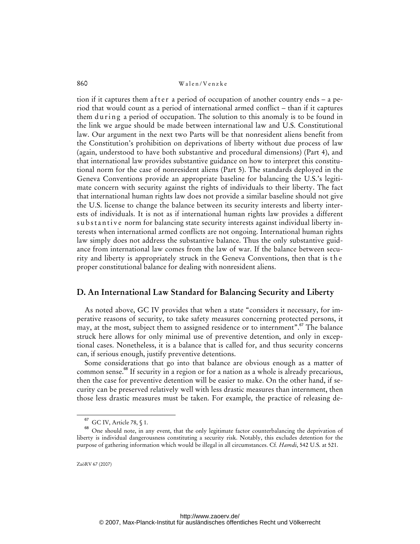tion if it captures them a f t e r a period of occupation of another country ends  $-$  a period that would count as a period of international armed conflict – than if it captures them during a period of occupation. The solution to this anomaly is to be found in the link we argue should be made between international law and U.S. Constitutional law. Our argument in the next two Parts will be that nonresident aliens benefit from the Constitution's prohibition on deprivations of liberty without due process of law (again, understood to have both substantive and procedural dimensions) (Part 4), and that international law provides substantive guidance on how to interpret this constitutional norm for the case of nonresident aliens (Part 5). The standards deployed in the Geneva Conventions provide an appropriate baseline for balancing the U.S.'s legitimate concern with security against the rights of individuals to their liberty. The fact that international human rights law does not provide a similar baseline should not give the U.S. license to change the balance between its security interests and liberty interests of individuals. It is not as if international human rights law provides a different substantive norm for balancing state security interests against individual liberty interests when international armed conflicts are not ongoing. International human rights law simply does not address the substantive balance. Thus the only substantive guidance from international law comes from the law of war. If the balance between security and liberty is appropriately struck in the Geneva Conventions, then that is the proper constitutional balance for dealing with nonresident aliens.

### **D. An International Law Standard for Balancing Security and Liberty**

As noted above, GC IV provides that when a state "considers it necessary, for imperative reasons of security, to take safety measures concerning protected persons, it may, at the most, subject them to assigned residence or to internment".<sup>67</sup> The balance struck here allows for only minimal use of preventive detention, and only in exceptional cases. Nonetheless, it is a balance that is called for, and thus security concerns can, if serious enough, justify preventive detentions.

Some considerations that go into that balance are obvious enough as a matter of common sense.<sup>88</sup> If security in a region or for a nation as a whole is already precarious, then the case for preventive detention will be easier to make. On the other hand, if security can be preserved relatively well with less drastic measures than internment, then those less drastic measures must be taken. For example, the practice of releasing de-

GC IV, Article 78, § 1.

<sup>68</sup> One should note, in any event, that the only legitimate factor counterbalancing the deprivation of liberty is individual dangerousness constituting a security risk. Notably, this excludes detention for the purpose of gathering information which would be illegal in all circumstances. Cf*. Hamdi*, 542 U.S. at 521.

ZaöRV 67 (2007)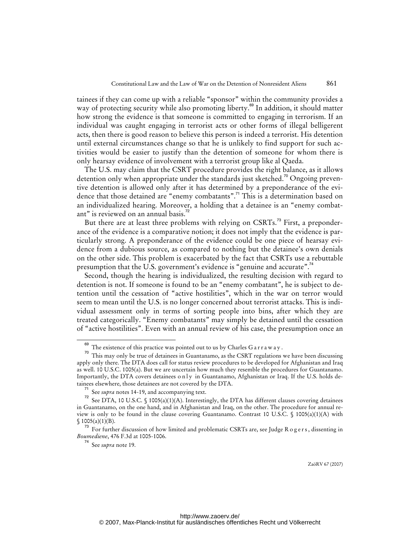tainees if they can come up with a reliable "sponsor" within the community provides a way of protecting security while also promoting liberty.<sup>69</sup> In addition, it should matter how strong the evidence is that someone is committed to engaging in terrorism. If an individual was caught engaging in terrorist acts or other forms of illegal belligerent acts, then there is good reason to believe this person is indeed a terrorist. His detention until external circumstances change so that he is unlikely to find support for such activities would be easier to justify than the detention of someone for whom there is only hearsay evidence of involvement with a terrorist group like al Qaeda.

The U.S. may claim that the CSRT procedure provides the right balance, as it allows detention only when appropriate under the standards just sketched.<sup>70</sup> Ongoing preventive detention is allowed only after it has determined by a preponderance of the evidence that those detained are "enemy combatants".<sup>71</sup> This is a determination based on an individualized hearing. Moreover, a holding that a detainee is an "enemy combatant" is reviewed on an annual basis.<sup>72</sup>

But there are at least three problems with relying on CSRTs.<sup>73</sup> First, a preponderance of the evidence is a comparative notion; it does not imply that the evidence is particularly strong. A preponderance of the evidence could be one piece of hearsay evidence from a dubious source, as compared to nothing but the detainee's own denials on the other side. This problem is exacerbated by the fact that CSRTs use a rebuttable presumption that the U.S. government's evidence is "genuine and accurate".<sup>74</sup>

Second, though the hearing is individualized, the resulting decision with regard to detention is not. If someone is found to be an "enemy combatant", he is subject to detention until the cessation of "active hostilities", which in the war on terror would seem to mean until the U.S. is no longer concerned about terrorist attacks. This is individual assessment only in terms of sorting people into bins, after which they are treated categorically. "Enemy combatants" may simply be detained until the cessation of "active hostilities". Even with an annual review of his case, the presumption once an

The existence of this practice was pointed out to us by Charles G a r r a w a y .

 $70$  This may only be true of detainees in Guantanamo, as the CSRT regulations we have been discussing apply only there. The DTA does call for status review procedures to be developed for Afghanistan and Iraq as well. 10 U.S.C. 1005(a). But we are uncertain how much they resemble the procedures for Guantanamo. Importantly, the DTA covers detainees only in Guantanamo, Afghanistan or Iraq. If the U.S. holds detainees elsewhere, those detainees are not covered by the DTA.

<sup>71</sup> See *supra* notes 14-19, and accompanying text.

See DTA, 10 U.S.C. § 1005(a)(1)(A). Interestingly, the DTA has different clauses covering detainees in Guantanamo, on the one hand, and in Afghanistan and Iraq, on the other. The procedure for annual review is only to be found in the clause covering Guantanamo. Contrast 10 U.S.C. § 1005(a)(1)(A) with  $$1005(a)(1)(B).$ 

 $^{73}$  For further discussion of how limited and problematic CSRTs are, see Judge R o g e r s , dissenting in *Boumediene*, 476 F.3d at 1005-1006.

<sup>74</sup> See *supra* note 19.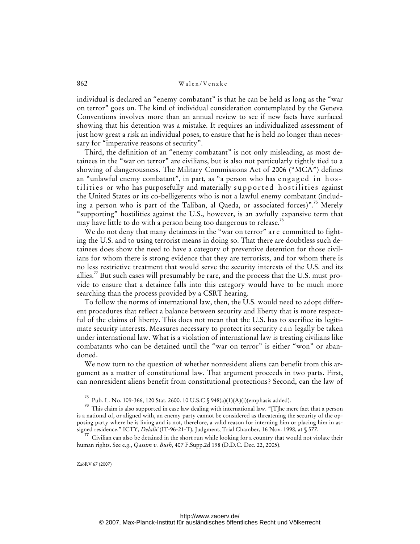individual is declared an "enemy combatant" is that he can be held as long as the "war on terror" goes on. The kind of individual consideration contemplated by the Geneva Conventions involves more than an annual review to see if new facts have surfaced showing that his detention was a mistake. It requires an individualized assessment of just how great a risk an individual poses, to ensure that he is held no longer than necessary for "imperative reasons of security".

Third, the definition of an "enemy combatant" is not only misleading, as most detainees in the "war on terror" are civilians, but is also not particularly tightly tied to a showing of dangerousness. The Military Commissions Act of 2006 ("MCA") defines an "unlawful enemy combatant", in part, as "a person who has engaged in hostilities or who has purposefully and materially supported hostilities against the United States or its co-belligerents who is not a lawful enemy combatant (including a person who is part of the Taliban, al Qaeda, or associated forces)".<sup>75</sup> Merely "supporting" hostilities against the U.S., however, is an awfully expansive term that may have little to do with a person being too dangerous to release.<sup>76</sup>

We do not deny that many detainees in the "war on terror" are committed to fighting the U.S. and to using terrorist means in doing so. That there are doubtless such detainees does show the need to have a category of preventive detention for those civilians for whom there is strong evidence that they are terrorists, and for whom there is no less restrictive treatment that would serve the security interests of the U.S. and its allies." But such cases will presumably be rare, and the process that the U.S. must provide to ensure that a detainee falls into this category would have to be much more searching than the process provided by a CSRT hearing.

To follow the norms of international law, then, the U.S. would need to adopt different procedures that reflect a balance between security and liberty that is more respectful of the claims of liberty. This does not mean that the U.S. has to sacrifice its legitimate security interests. Measures necessary to protect its security c an legally be taken under international law. What is a violation of international law is treating civilians like combatants who can be detained until the "war on terror" is either "won" or abandoned.

We now turn to the question of whether nonresident aliens can benefit from this argument as a matter of constitutional law. That argument proceeds in two parts. First, can nonresident aliens benefit from constitutional protections? Second, can the law of

Pub. L. No. 109-366, 120 Stat. 2600. 10 U.S.C § 948(a)(1)(A)(i)(emphasis added).

 $76$  This claim is also supported in case law dealing with international law. "[T]he mere fact that a person is a national of, or aligned with, an enemy party cannot be considered as threatening the security of the opposing party where he is living and is not, therefore, a valid reason for interning him or placing him in assigned residence." ICTY, *Delalić* (IT-96-21-T), Judgment, Trial Chamber, 16 Nov. 1998, at § 577.

Civilian can also be detained in the short run while looking for a country that would not violate their human rights. See e.g., *Qassim v. Bush*, 407 F.Supp.2d 198 (D.D.C. Dec. 22, 2005).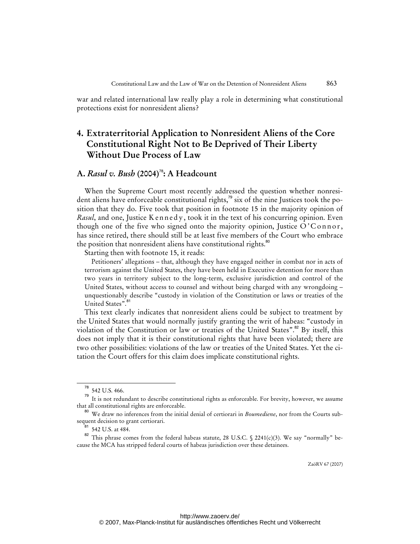war and related international law really play a role in determining what constitutional protections exist for nonresident aliens?

# **4. Extraterritorial Application to Nonresident Aliens of the Core Constitutional Right Not to Be Deprived of Their Liberty Without Due Process of Law**

### **A.** *Rasul v. Bush* **(2004)**<sup>78</sup>**: A Headcount**

When the Supreme Court most recently addressed the question whether nonresident aliens have enforceable constitutional rights,<sup>79</sup> six of the nine Justices took the position that they do. Five took that position in footnote 15 in the majority opinion of *Rasul*, and one, Justice K en n edy, took it in the text of his concurring opinion. Even though one of the five who signed onto the majority opinion, Justice  $O^{\prime}$ Connor, has since retired, there should still be at least five members of the Court who embrace the position that nonresident aliens have constitutional rights.<sup>80</sup>

Starting then with footnote 15, it reads:

Petitioners' allegations – that, although they have engaged neither in combat nor in acts of terrorism against the United States, they have been held in Executive detention for more than two years in territory subject to the long-term, exclusive jurisdiction and control of the United States, without access to counsel and without being charged with any wrongdoing – unquestionably describe "custody in violation of the Constitution or laws or treaties of the United States".<sup>81</sup>

This text clearly indicates that nonresident aliens could be subject to treatment by the United States that would normally justify granting the writ of habeas: "custody in violation of the Constitution or law or treaties of the United States".<sup>82</sup> By itself, this does not imply that it is their constitutional rights that have been violated; there are two other possibilities: violations of the law or treaties of the United States. Yet the citation the Court offers for this claim does implicate constitutional rights.

<sup>542</sup> U.S. 466.

<sup>&</sup>lt;sup>79</sup> It is not redundant to describe constitutional rights as enforceable. For brevity, however, we assume that all constitutional rights are enforceable.

<sup>80</sup> We draw no inferences from the initial denial of certiorari in *Boumediene*, nor from the Courts subsequent decision to grant certiorari.

 $^{81}$  542 U.S. at 484.

This phrase comes from the federal habeas statute, 28 U.S.C. § 2241(c)(3). We say "normally" because the MCA has stripped federal courts of habeas jurisdiction over these detainees.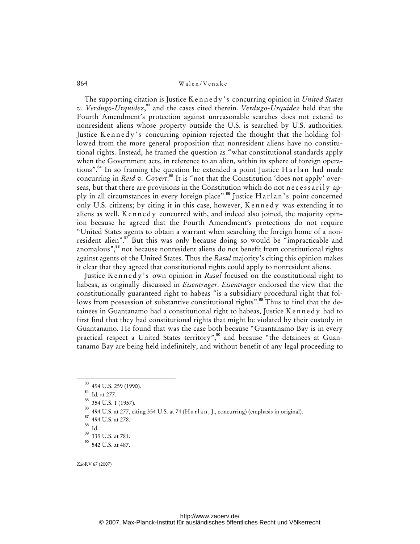The supporting citation is Justice K e n n e d y ' s concurring opinion in *United States v. Verdugo-Urquidez*, <sup>83</sup> and the cases cited therein. *Verdugo-Urquidez* held that the Fourth Amendment's protection against unreasonable searches does not extend to nonresident aliens whose property outside the U.S. is searched by U.S. authorities. Justice Kennedy's concurring opinion rejected the thought that the holding followed from the more general proposition that nonresident aliens have no constitutional rights. Instead, he framed the question as "what constitutional standards apply when the Government acts, in reference to an alien, within its sphere of foreign operations".<sup>84</sup> In so framing the question he extended a point Justice Harlan had made concurring in *Reid v. Covert*: <sup>85</sup> It is "not that the Constitution 'does not apply' overseas, but that there are provisions in the Constitution which do not necessarily apply in all circumstances in every foreign place".<sup>86</sup> Justice Harlan's point concerned only U.S. citizens; by citing it in this case, however, Kennedy was extending it to aliens as well. K ennedy concurred with, and indeed also joined, the majority opinion because he agreed that the Fourth Amendment's protections do not require "United States agents to obtain a warrant when searching the foreign home of a nonresident alien".<sup>87</sup> But this was only because doing so would be "impracticable and anomalous",<sup>88</sup> not because nonresident aliens do not benefit from constitutional rights against agents of the United States. Thus the *Rasul* majority's citing this opinion makes it clear that they agreed that constitutional rights could apply to nonresident aliens.

Justice Kennedy's own opinion in *Rasul* focused on the constitutional right to habeas, as originally discussed in *Eisentrager*. *Eisentrager* endorsed the view that the constitutionally guaranteed right to habeas "is a subsidiary procedural right that follows from possession of substantive constitutional rights".<sup>89</sup> Thus to find that the detainees in Guantanamo had a constitutional right to habeas, Justice K e n n e d y had to first find that they had constitutional rights that might be violated by their custody in Guantanamo. He found that was the case both because "Guantanamo Bay is in every practical respect a United States territory",<sup>90</sup> and because "the detainees at Guantanamo Bay are being held indefinitely, and without benefit of any legal proceeding to

<sup>83</sup> 494 U.S. 259 (1990).

<sup>84</sup> Id*.* at 277.

<sup>85</sup> 354 U.S. 1 (1957).

<sup>494</sup> U.S. at 277, citing 354 U.S. at 74 (H a rl a n, J., concurring) (emphasis in original).

<sup>494</sup> U.S. at 278.

 $rac{88}{89}$  Id.

<sup>89</sup> 339 U.S. at 781.

<sup>90</sup> 542 U.S. at 487.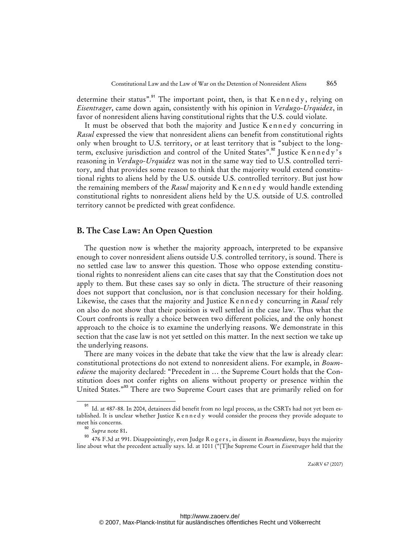determine their status".<sup>91</sup> The important point, then, is that  $K$  ennedy, relying on *Eisentrager*, came down again, consistently with his opinion in *Verdugo-Urquidez*, in favor of nonresident aliens having constitutional rights that the U.S. could violate.

It must be observed that both the majority and Justice Kennedy concurring in *Rasul* expressed the view that nonresident aliens can benefit from constitutional rights only when brought to U.S. territory, or at least territory that is "subject to the longterm, exclusive jurisdiction and control of the United States".<sup>92</sup> Justice K ennedy's reasoning in *Verdugo-Urquidez* was not in the same way tied to U.S. controlled territory, and that provides some reason to think that the majority would extend constitutional rights to aliens held by the U.S. outside U.S. controlled territory. But just how the remaining members of the *Rasul* majority and K e n n e d y would handle extending constitutional rights to nonresident aliens held by the U.S. outside of U.S. controlled territory cannot be predicted with great confidence.

## **B. The Case Law: An Open Question**

The question now is whether the majority approach, interpreted to be expansive enough to cover nonresident aliens outside U.S. controlled territory, is sound. There is no settled case law to answer this question. Those who oppose extending constitutional rights to nonresident aliens can cite cases that say that the Constitution does not apply to them. But these cases say so only in dicta. The structure of their reasoning does not support that conclusion, nor is that conclusion necessary for their holding. Likewise, the cases that the majority and Justice K e n n e d y concurring in *Rasul* rely on also do not show that their position is well settled in the case law. Thus what the Court confronts is really a choice between two different policies, and the only honest approach to the choice is to examine the underlying reasons. We demonstrate in this section that the case law is not yet settled on this matter. In the next section we take up the underlying reasons.

There are many voices in the debate that take the view that the law is already clear: constitutional protections do not extend to nonresident aliens. For example, in *Boumediene* the majority declared: "Precedent in … the Supreme Court holds that the Constitution does not confer rights on aliens without property or presence within the United States."<sup>93</sup> There are two Supreme Court cases that are primarily relied on for

<sup>&</sup>lt;sup>91</sup> Id. at 487-88. In 2004, detainees did benefit from no legal process, as the CSRTs had not yet been established. It is unclear whether Justice K e n n e d y would consider the process they provide adequate to meet his concerns.

<sup>92</sup> *Supra* note 81**.**

<sup>93</sup> 476 F.3d at 991. Disappointingly, even Judge R o g e r s , in dissent in *Boumediene*, buys the majority line about what the precedent actually says. Id. at 1011 ("[T]he Supreme Court in *Eisentrager* held that the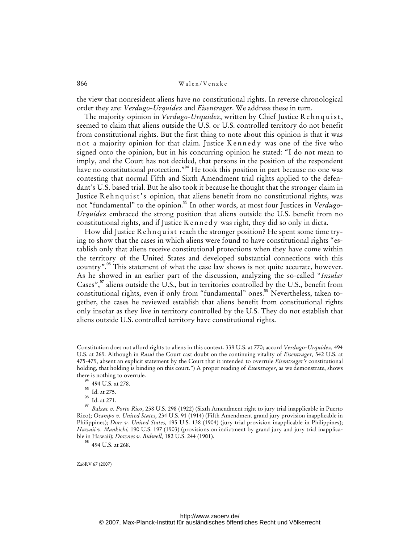the view that nonresident aliens have no constitutional rights. In reverse chronological order they are: *Verdugo-Urquidez* and *Eisentrager*. We address these in turn.

The majority opinion in *Verdugo-Urquidez*, written by Chief Justice R eh n quist, seemed to claim that aliens outside the U.S. or U.S. controlled territory do not benefit from constitutional rights. But the first thing to note about this opinion is that it was not a majority opinion for that claim. Justice Kennedy was one of the five who signed onto the opinion, but in his concurring opinion he stated: "I do not mean to imply, and the Court has not decided, that persons in the position of the respondent have no constitutional protection."<sup>94</sup> He took this position in part because no one was contesting that normal Fifth and Sixth Amendment trial rights applied to the defendant's U.S. based trial. But he also took it because he thought that the stronger claim in Justice Rehnquist's opinion, that aliens benefit from no constitutional rights, was not "fundamental" to the opinion.<sup>95</sup> In other words, at most four Justices in *Verdugo-Urquidez* embraced the strong position that aliens outside the U.S. benefit from no constitutional rights, and if Justice K e n n e d y was right, they did so only in dicta.

How did Justice R ehnquist reach the stronger position? He spent some time trying to show that the cases in which aliens were found to have constitutional rights "establish only that aliens receive constitutional protections when they have come within the territory of the United States and developed substantial connections with this country".<sup>96</sup> This statement of what the case law shows is not quite accurate, however. As he showed in an earlier part of the discussion, analyzing the so-called "*Insular* Cases",<sup>97</sup> aliens outside the U.S., but in territories controlled by the U.S., benefit from constitutional rights, even if only from "fundamental" ones.<sup>98</sup> Nevertheless, taken together, the cases he reviewed establish that aliens benefit from constitutional rights only insofar as they live in territory controlled by the U.S. They do not establish that aliens outside U.S. controlled territory have constitutional rights.

-

Constitution does not afford rights to aliens in this context. 339 U.S. at 770; accord *Verdugo-Urquidez,* 494 U.S. at 269. Although in *Rasul* the Court cast doubt on the continuing vitality of *Eisentrager,* 542 U.S. at 475-479, absent an explicit statement by the Court that it intended to overrule *Eisentrager's* constitutional holding, that holding is binding on this court.") A proper reading of *Eisentrager*, as we demonstrate, shows there is nothing to overrule.

<sup>&</sup>lt;sup>94</sup> 494 U.S. at 278.

 $^{95}$  Id. at 275.

Id. at 271.

<sup>97</sup> *Balzac v. Porto Rico*, 258 U.S. 298 (1922) (Sixth Amendment right to jury trial inapplicable in Puerto Rico); *Ocampo v. United States,* 234 U.S. 91 (1914) (Fifth Amendment grand jury provision inapplicable in Philippines); *Dorr v. United States,* 195 U.S. 138 (1904) (jury trial provision inapplicable in Philippines); *Hawaii v. Mankichi,* 190 U.S. 197 (1903) (provisions on indictment by grand jury and jury trial inapplicable in Hawaii); *Downes v. Bidwell,* 182 U.S. 244 (1901).

 $^{98}$  494 U.S. at 268.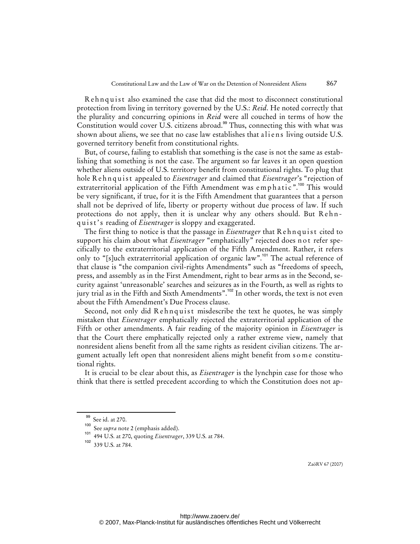Rehnquist also examined the case that did the most to disconnect constitutional protection from living in territory governed by the U.S.: *Reid*. He noted correctly that the plurality and concurring opinions in *Reid* were all couched in terms of how the Constitution would cover U.S. citizens abroad.<sup>99</sup> Thus, connecting this with what was shown about aliens, we see that no case law establishes that a liens living outside U.S. governed territory benefit from constitutional rights.

But, of course, failing to establish that something is the case is not the same as establishing that something is not the case. The argument so far leaves it an open question whether aliens outside of U.S. territory benefit from constitutional rights. To plug that hole R e h n q u i s t appealed to *Eisentrager* and claimed that *Eisentrager*'s "rejection of extraterritorial application of the Fifth Amendment was emphatic ".<sup>100</sup> This would be very significant, if true, for it is the Fifth Amendment that guarantees that a person shall not be deprived of life, liberty or property without due process of law. If such protections do not apply, then it is unclear why any others should. But Rehnquist's reading of *Eisentrager* is sloppy and exaggerated.

The first thing to notice is that the passage in *Eisentrager* that Rehnquist cited to support his claim about what *Eisentrager* "emphatically" rejected does not refer specifically to the extraterritorial application of the Fifth Amendment. Rather, it refers only to "[s]uch extraterritorial application of organic law".<sup>101</sup> The actual reference of that clause is "the companion civil-rights Amendments" such as "freedoms of speech, press, and assembly as in the First Amendment, right to bear arms as in the Second, security against 'unreasonable' searches and seizures as in the Fourth, as well as rights to jury trial as in the Fifth and Sixth Amendments".<sup>102</sup> In other words, the text is not even about the Fifth Amendment's Due Process clause.

Second, not only did Rehnquist misdescribe the text he quotes, he was simply mistaken that *Eisentrager* emphatically rejected the extraterritorial application of the Fifth or other amendments. A fair reading of the majority opinion in *Eisentrager* is that the Court there emphatically rejected only a rather extreme view, namely that nonresident aliens benefit from all the same rights as resident civilian citizens. The argument actually left open that nonresident aliens might benefit from s om e constitutional rights.

It is crucial to be clear about this, as *Eisentrager* is the lynchpin case for those who think that there is settled precedent according to which the Constitution does not ap-

See id. at 270.

<sup>100</sup> See *supra* note 2 (emphasis added).

<sup>101</sup> 494 U.S. at 270, quoting *Eisentrager*, 339 U.S. at 784.

<sup>102</sup> 339 U.S. at 784.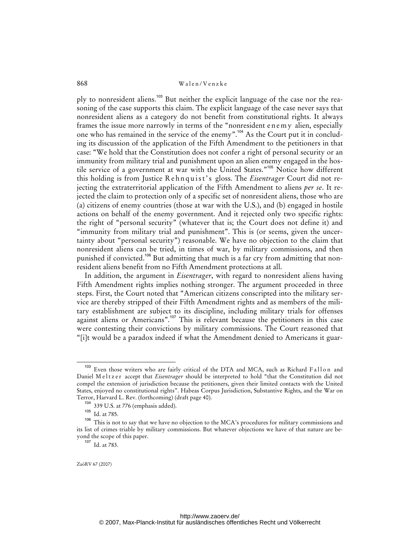ply to nonresident aliens.<sup>103</sup> But neither the explicit language of the case nor the reasoning of the case supports this claim. The explicit language of the case never says that nonresident aliens as a category do not benefit from constitutional rights. It always frames the issue more narrowly in terms of the "nonresident e n e m y alien, especially one who has remained in the service of the enemy".<sup>104</sup> As the Court put it in concluding its discussion of the application of the Fifth Amendment to the petitioners in that case: "We hold that the Constitution does not confer a right of personal security or an immunity from military trial and punishment upon an alien enemy engaged in the hostile service of a government at war with the United States."<sup>105</sup> Notice how different this holding is from Justice Rehnquist's gloss. The *Eisentrager* Court did not rejecting the extraterritorial application of the Fifth Amendment to aliens *per se*. It rejected the claim to protection only of a specific set of nonresident aliens, those who are (a) citizens of enemy countries (those at war with the U.S.), and (b) engaged in hostile actions on behalf of the enemy government. And it rejected only two specific rights: the right of "personal security" (whatever that is; the Court does not define it) and "immunity from military trial and punishment". This is (or seems, given the uncertainty about "personal security") reasonable. We have no objection to the claim that nonresident aliens can be tried, in times of war, by military commissions, and then punished if convicted.<sup>106</sup> But admitting that much is a far cry from admitting that nonresident aliens benefit from no Fifth Amendment protections at all.

In addition, the argument in *Eisentrager*, with regard to nonresident aliens having Fifth Amendment rights implies nothing stronger. The argument proceeded in three steps. First, the Court noted that "American citizens conscripted into the military service are thereby stripped of their Fifth Amendment rights and as members of the military establishment are subject to its discipline, including military trials for offenses against aliens or Americans".<sup>107</sup> This is relevant because the petitioners in this case were contesting their convictions by military commissions. The Court reasoned that "[i]t would be a paradox indeed if what the Amendment denied to Americans it guar-

<sup>&</sup>lt;sup>103</sup> Even those writers who are fairly critical of the DTA and MCA, such as Richard Fallon and Daniel Meltzer accept that *Eisentrager* should be interpreted to hold "that the Constitution did not compel the extension of jurisdiction because the petitioners, given their limited contacts with the United States, enjoyed no constitutional rights". Habeas Corpus Jurisdiction, Substantive Rights, and the War on Terror, Harvard L. Rev. (forthcoming) (draft page 40).

<sup>339</sup> U.S. at 776 (emphasis added).

 $105$  Id. at 785.

<sup>106</sup> This is not to say that we have no objection to the MCA's procedures for military commissions and its list of crimes triable by military commissions. But whatever objections we have of that nature are beyond the scope of this paper.

<sup>107</sup> Id. at 783.

ZaöRV 67 (2007)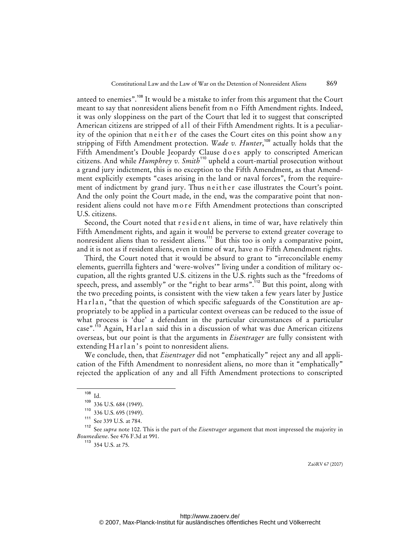anteed to enemies".<sup>108</sup> It would be a mistake to infer from this argument that the Court meant to say that nonresident aliens benefit from n o Fifth Amendment rights. Indeed, it was only sloppiness on the part of the Court that led it to suggest that conscripted American citizens are stripped of all of their Fifth Amendment rights. It is a peculiarity of the opinion that n e ither of the cases the Court cites on this point show any stripping of Fifth Amendment protection. *Wade v. Hunter*, <sup>109</sup> actually holds that the Fifth Amendment's Double Jeopardy Clause does apply to conscripted American citizens. And while *Humphrey v. Smith*<sup>110</sup> upheld a court-martial prosecution without a grand jury indictment, this is no exception to the Fifth Amendment, as that Amendment explicitly exempts "cases arising in the land or naval forces", from the requirement of indictment by grand jury. Thus n either case illustrates the Court's point. And the only point the Court made, in the end, was the comparative point that nonresident aliens could not have m o r e Fifth Amendment protections than conscripted U.S. citizens.

Second, the Court noted that r e sident aliens, in time of war, have relatively thin Fifth Amendment rights, and again it would be perverse to extend greater coverage to nonresident aliens than to resident aliens.<sup>111</sup> But this too is only a comparative point, and it is not as if resident aliens, even in time of war, have no Fifth Amendment rights.

Third, the Court noted that it would be absurd to grant to "irreconcilable enemy elements, guerrilla fighters and 'were-wolves'" living under a condition of military occupation, all the rights granted U.S. citizens in the U.S. rights such as the "freedoms of speech, press, and assembly" or the "right to bear arms".<sup>112</sup> But this point, along with the two preceding points, is consistent with the view taken a few years later by Justice Harlan, "that the question of which specific safeguards of the Constitution are appropriately to be applied in a particular context overseas can be reduced to the issue of what process is 'due' a defendant in the particular circumstances of a particular case".<sup>113</sup> Again, Harlan said this in a discussion of what was due American citizens overseas, but our point is that the arguments in *Eisentrager* are fully consistent with extending Harlan's point to nonresident aliens.

We conclude, then, that *Eisentrager* did not "emphatically" reject any and all application of the Fifth Amendment to nonresident aliens, no more than it "emphatically" rejected the application of any and all Fifth Amendment protections to conscripted

<sup>113</sup> 354 U.S. at 75.

<sup>108</sup> Id.

<sup>109</sup> 336 U.S. 684 (1949).

<sup>110</sup> 336 U.S. 695 (1949).

 $111$  See 339 U.S. at 784.

<sup>112</sup> See *supra* note 102. This is the part of the *Eisentrager* argument that most impressed the majority in *Boumediene*. See 476 F.3d at 991.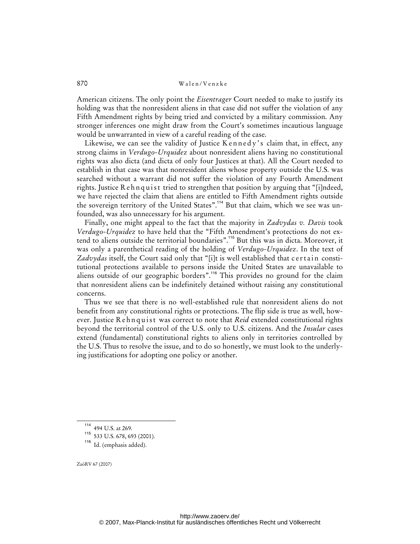American citizens. The only point the *Eisentrager* Court needed to make to justify its holding was that the nonresident aliens in that case did not suffer the violation of any Fifth Amendment rights by being tried and convicted by a military commission. Any stronger inferences one might draw from the Court's sometimes incautious language would be unwarranted in view of a careful reading of the case.

Likewise, we can see the validity of Justice Kennedy's claim that, in effect, any strong claims in *Verdugo-Urquidez* about nonresident aliens having no constitutional rights was also dicta (and dicta of only four Justices at that). All the Court needed to establish in that case was that nonresident aliens whose property outside the U.S. was searched without a warrant did not suffer the violation of any Fourth Amendment rights. Justice R e h n q u is t tried to strengthen that position by arguing that "[i]ndeed, we have rejected the claim that aliens are entitled to Fifth Amendment rights outside the sovereign territory of the United States".<sup>114</sup> But that claim, which we see was unfounded, was also unnecessary for his argument.

Finally, one might appeal to the fact that the majority in *Zadvydas v. Davis* took *Verdugo-Urquidez* to have held that the "Fifth Amendment's protections do not extend to aliens outside the territorial boundaries".<sup>115</sup> But this was in dicta. Moreover, it was only a parenthetical reading of the holding of *Verdugo-Urquidez*. In the text of Zadvydas itself, the Court said only that "[i]t is well established that certain constitutional protections available to persons inside the United States are unavailable to aliens outside of our geographic borders".<sup>116</sup> This provides no ground for the claim that nonresident aliens can be indefinitely detained without raising any constitutional concerns.

Thus we see that there is no well-established rule that nonresident aliens do not benefit from any constitutional rights or protections. The flip side is true as well, however. Justice R eh n q u i s t was correct to note that *Reid* extended constitutional rights beyond the territorial control of the U.S. only to U.S. citizens. And the *Insular* cases extend (fundamental) constitutional rights to aliens only in territories controlled by the U.S. Thus to resolve the issue, and to do so honestly, we must look to the underlying justifications for adopting one policy or another.

<sup>114</sup> 494 U.S. at 269.

<sup>115</sup> 533 U.S. 678, 693 (2001).

<sup>116</sup> Id. (emphasis added).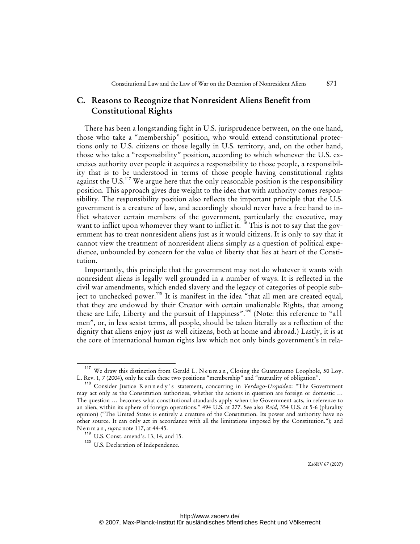# **C. Reasons to Recognize that Nonresident Aliens Benefit from Constitutional Rights**

There has been a longstanding fight in U.S. jurisprudence between, on the one hand, those who take a "membership" position, who would extend constitutional protections only to U.S. citizens or those legally in U.S. territory, and, on the other hand, those who take a "responsibility" position, according to which whenever the U.S. exercises authority over people it acquires a responsibility to those people, a responsibility that is to be understood in terms of those people having constitutional rights against the U.S.<sup>117</sup> We argue here that the only reasonable position is the responsibility position. This approach gives due weight to the idea that with authority comes responsibility. The responsibility position also reflects the important principle that the U.S. government is a creature of law, and accordingly should never have a free hand to inflict whatever certain members of the government, particularly the executive, may want to inflict upon whomever they want to inflict it.<sup>118</sup> This is not to say that the government has to treat nonresident aliens just as it would citizens. It is only to say that it cannot view the treatment of nonresident aliens simply as a question of political expedience, unbounded by concern for the value of liberty that lies at heart of the Constitution.

Importantly, this principle that the government may not do whatever it wants with nonresident aliens is legally well grounded in a number of ways. It is reflected in the civil war amendments, which ended slavery and the legacy of categories of people subject to unchecked power.<sup>119</sup> It is manifest in the idea "that all men are created equal, that they are endowed by their Creator with certain unalienable Rights, that among these are Life, Liberty and the pursuit of Happiness".<sup>120</sup> (Note: this reference to "all men", or, in less sexist terms, all people, should be taken literally as a reflection of the dignity that aliens enjoy just as well citizens, both at home and abroad.) Lastly, it is at the core of international human rights law which not only binds government's in rela-

<sup>&</sup>lt;sup>117</sup> We draw this distinction from Gerald L. N e u m a n, Closing the Guantanamo Loophole, 50 Loy. L. Rev. 1, 7 (2004), only he calls these two positions "membership" and "mutuality of obligation".

<sup>&</sup>lt;sup>118</sup> Consider Justice K ennedy's statement, concurring in *Verdugo-Urquidez*: "The Government may act only as the Constitution authorizes, whether the actions in question are foreign or domestic … The question … becomes what constitutional standards apply when the Government acts, in reference to an alien, within its sphere of foreign operations." 494 U.S. at 277. See also *Reid*, 354 U.S. at 5-6 (plurality opinion) ("The United States is entirely a creature of the Constitution. Its power and authority have no other source. It can only act in accordance with all the limitations imposed by the Constitution."); and N e u m a n , *supra* note 117**,** at 44-45.

<sup>119</sup> U.S. Const. amend's. 13, 14, and 15.

<sup>&</sup>lt;sup>120</sup> U.S. Declaration of Independence.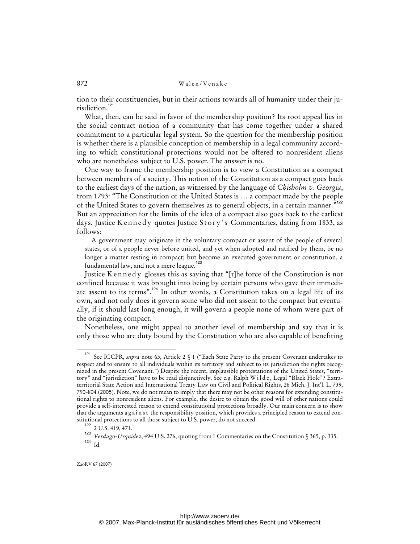tion to their constituencies, but in their actions towards all of humanity under their jurisdiction.<sup>121</sup>

What, then, can be said in favor of the membership position? Its root appeal lies in the social contract notion of a community that has come together under a shared commitment to a particular legal system. So the question for the membership position is whether there is a plausible conception of membership in a legal community according to which constitutional protections would not be offered to nonresident aliens who are nonetheless subject to U.S. power. The answer is no.

One way to frame the membership position is to view a Constitution as a compact between members of a society. This notion of the Constitution as a compact goes back to the earliest days of the nation, as witnessed by the language of *Chisholm v. Georgia*, from 1793: "The Constitution of the United States is … a compact made by the people of the United States to govern themselves as to general objects, in a certain manner."<sup>122</sup> But an appreciation for the limits of the idea of a compact also goes back to the earliest days. Justice K ennedy quotes Justice Story's Commentaries, dating from 1833, as follows:

A government may originate in the voluntary compact or assent of the people of several states, or of a people never before united, and yet when adopted and ratified by them, be no longer a matter resting in compact; but become an executed government or constitution, a fundamental law, and not a mere league.<sup>123</sup>

Justice K ennedy glosses this as saying that "[t]he force of the Constitution is not confined because it was brought into being by certain persons who gave their immediate assent to its terms".<sup>124</sup> In other words, a Constitution takes on a legal life of its own, and not only does it govern some who did not assent to the compact but eventually, if it should last long enough, it will govern a people none of whom were part of the originating compact.

Nonetheless, one might appeal to another level of membership and say that it is only those who are duty bound by the Constitution who are also capable of benefiting

<sup>121</sup> See ICCPR, *supra* note 63, Article 2 § 1 ("Each State Party to the present Covenant undertakes to respect and to ensure to all individuals within its territory and subject to its jurisdiction the rights recognized in the present Covenant.") Despite the recent, implausible protestations of the United States, "territory" and "jurisdiction" have to be read disjunctively. See e.g. Ralph W i l d e , Legal "Black Hole"? Extraterritorial State Action and International Treaty Law on Civil and Political Rights, 26 Mich. J. Int'l. L. 739, 790-804 (2005). Note, we do not mean to imply that there may not be other reasons for extending constitutional rights to nonresident aliens. For example, the desire to obtain the good will of other nations could provide a self-interested reason to extend constitutional protections broadly. Our main concern is to show that the arguments a g a inst the responsibility position, which provides a principled reason to extend constitutional protections to all those subject to U.S. power, do not succeed.

<sup>122</sup> 2 U.S. 419, 471.

<sup>&</sup>lt;sup>123</sup> Verdugo-Urquidez, 494 U.S. 276, quoting from I Commentaries on the Constitution § 365, p. 335.  $124$  Id.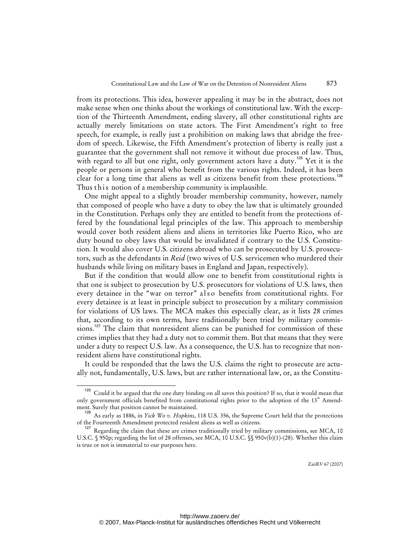from its protections. This idea, however appealing it may be in the abstract, does not make sense when one thinks about the workings of constitutional law. With the exception of the Thirteenth Amendment, ending slavery, all other constitutional rights are actually merely limitations on state actors. The First Amendment's right to free speech, for example, is really just a prohibition on making laws that abridge the freedom of speech. Likewise, the Fifth Amendment's protection of liberty is really just a guarantee that the government shall not remove it without due process of law. Thus, with regard to all but one right, only government actors have a duty.<sup>125</sup> Yet it is the people or persons in general who benefit from the various rights. Indeed, it has been clear for a long time that aliens as well as citizens benefit from these protections.<sup>126</sup> Thus this notion of a membership community is implausible.

One might appeal to a slightly broader membership community, however, namely that composed of people who have a duty to obey the law that is ultimately grounded in the Constitution. Perhaps only they are entitled to benefit from the protections offered by the foundational legal principles of the law. This approach to membership would cover both resident aliens and aliens in territories like Puerto Rico, who are duty bound to obey laws that would be invalidated if contrary to the U.S. Constitution. It would also cover U.S. citizens abroad who can be prosecuted by U.S. prosecutors, such as the defendants in *Reid* (two wives of U.S. servicemen who murdered their husbands while living on military bases in England and Japan, respectively).

But if the condition that would allow one to benefit from constitutional rights is that one is subject to prosecution by U.S. prosecutors for violations of U.S. laws, then every detainee in the "war on terror" also benefits from constitutional rights. For every detainee is at least in principle subject to prosecution by a military commission for violations of US laws. The MCA makes this especially clear, as it lists 28 crimes that, according to its own terms, have traditionally been tried by military commissions.<sup>127</sup> The claim that nonresident aliens can be punished for commission of these crimes implies that they had a duty not to commit them. But that means that they were under a duty to respect U.S. law. As a consequence, the U.S. has to recognize that nonresident aliens have constitutional rights.

It could be responded that the laws the U.S. claims the right to prosecute are actually not, fundamentally, U.S. laws, but are rather international law, or, as the Constitu-

Could it be argued that the one duty binding on all saves this position? If so, that it would mean that only government officials benefited from constitutional rights prior to the adoption of the 13<sup>th</sup> Amendment. Surely that position cannot be maintained.

<sup>126</sup> As early as 1886, in *Yick Wo v. Hopkins*, 118 U.S. 356, the Supreme Court held that the protections of the Fourteenth Amendment protected resident aliens as well as citizens.

 $127$  Regarding the claim that these are crimes traditionally tried by military commissions, see MCA, 10 U.S.C. § 950p; regarding the list of 28 offenses, see MCA, 10 U.S.C. §§ 950v(b)(1)-(28). Whether this claim is true or not is immaterial to our purposes here.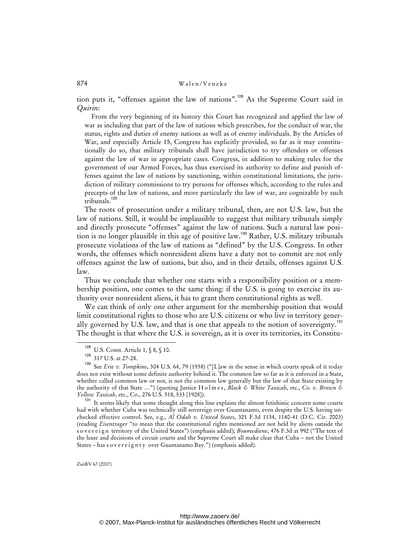tion puts it, "offenses against the law of nations".<sup>128</sup> As the Supreme Court said in *Quirin*:

From the very beginning of its history this Court has recognized and applied the law of war as including that part of the law of nations which prescribes, for the conduct of war, the status, rights and duties of enemy nations as well as of enemy individuals. By the Articles of War, and especially Article 15, Congress has explicitly provided, so far as it may constitutionally do so, that military tribunals shall have jurisdiction to try offenders or offenses against the law of war in appropriate cases. Congress, in addition to making rules for the government of our Armed Forces, has thus exercised its authority to define and punish offenses against the law of nations by sanctioning, within constitutional limitations, the jurisdiction of military commissions to try persons for offenses which, according to the rules and precepts of the law of nations, and more particularly the law of war, are cognizable by such tribunals.<sup>129</sup>

The roots of prosecution under a military tribunal, then, are not U.S. law, but the law of nations. Still, it would be implausible to suggest that military tribunals simply and directly prosecute "offenses" against the law of nations. Such a natural law position is no longer plausible in this age of positive law.<sup>130</sup> Rather, U.S. military tribunals prosecute violations of the law of nations as "defined" by the U.S. Congress. In other words, the offenses which nonresident aliens have a duty not to commit are not only offenses against the law of nations, but also, and in their details, offenses against U.S. law.

Thus we conclude that whether one starts with a responsibility position or a membership position, one comes to the same thing: if the U.S. is going to exercise its authority over nonresident aliens, it has to grant them constitutional rights as well.

We can think of only one other argument for the membership position that would limit constitutional rights to those who are U.S. citizens or who live in territory generally governed by U.S. law, and that is one that appeals to the notion of sovereignty.<sup>131</sup> The thought is that where the U.S. is sovereign, as it is over its territories, its Constitu-

<sup>128</sup> U.S. Const. Article 1, § 8, § 10.

 $^{129}$  317 U.S. at 27-28.

See *Erie v. Tompkins*, 304 U.S. 64, 79 (1938) ("[L]aw in the sense in which courts speak of it today does not exist without some definite authority behind it. The common law so far as it is enforced in a State, whether called common law or not, is not the common law generally but the law of that State existing by the authority of that State …") (quoting Justice H o l m e s , *Black & White Taxicab*, etc., *Co. v. Brown & Yellow Taxicab*, etc., Co., 276 U.S. 518, 533 [1928]).

<sup>&</sup>lt;sup>131</sup> It seems likely that some thought along this line explains the almost fetishistic concern some courts had with whether Cuba was technically still sovereign over Guantanamo, even despite the U.S. having unchecked effective control. See, e.g., *Al Odah v. United States*, 321 F.3d 1134, 1140-41 (D.C. Cir. 2003) (reading *Eisentrager* "to mean that the constitutional rights mentioned are not held by aliens outside the s o v e r e i g n territory of the United States") (emphasis added); *Boumediene*, 476 F.3d at 992 ("The text of the lease and decisions of circuit courts and the Supreme Court all make clear that Cuba – not the United States – has sovereignty over Guantanamo Bay.") (emphasis added).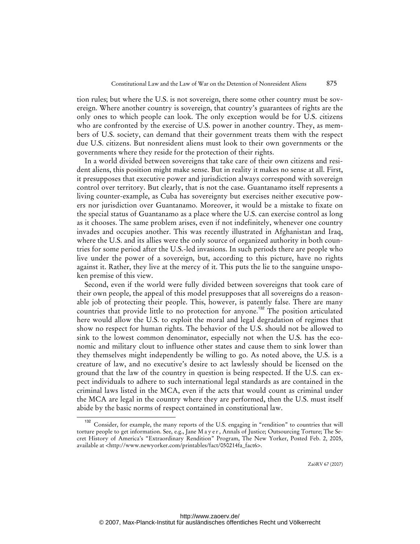tion rules; but where the U.S. is not sovereign, there some other country must be sovereign. Where another country is sovereign, that country's guarantees of rights are the only ones to which people can look. The only exception would be for U.S. citizens who are confronted by the exercise of U.S. power in another country. They, as members of U.S. society, can demand that their government treats them with the respect due U.S. citizens. But nonresident aliens must look to their own governments or the governments where they reside for the protection of their rights.

In a world divided between sovereigns that take care of their own citizens and resident aliens, this position might make sense. But in reality it makes no sense at all. First, it presupposes that executive power and jurisdiction always correspond with sovereign control over territory. But clearly, that is not the case. Guantanamo itself represents a living counter-example, as Cuba has sovereignty but exercises neither executive powers nor jurisdiction over Guantanamo. Moreover, it would be a mistake to fixate on the special status of Guantanamo as a place where the U.S. can exercise control as long as it chooses. The same problem arises, even if not indefinitely, whenever one country invades and occupies another. This was recently illustrated in Afghanistan and Iraq, where the U.S. and its allies were the only source of organized authority in both countries for some period after the U.S.-led invasions. In such periods there are people who live under the power of a sovereign, but, according to this picture, have no rights against it. Rather, they live at the mercy of it. This puts the lie to the sanguine unspoken premise of this view.

Second, even if the world were fully divided between sovereigns that took care of their own people, the appeal of this model presupposes that all sovereigns do a reasonable job of protecting their people. This, however, is patently false. There are many countries that provide little to no protection for anyone.<sup>132</sup> The position articulated here would allow the U.S. to exploit the moral and legal degradation of regimes that show no respect for human rights. The behavior of the U.S. should not be allowed to sink to the lowest common denominator, especially not when the U.S. has the economic and military clout to influence other states and cause them to sink lower than they themselves might independently be willing to go. As noted above, the U.S. is a creature of law, and no executive's desire to act lawlessly should be licensed on the ground that the law of the country in question is being respected. If the U.S. can expect individuals to adhere to such international legal standards as are contained in the criminal laws listed in the MCA, even if the acts that would count as criminal under the MCA are legal in the country where they are performed, then the U.S. must itself abide by the basic norms of respect contained in constitutional law.

Consider, for example, the many reports of the U.S. engaging in "rendition" to countries that will torture people to get information. See, e.g., Jane M a y e r , Annals of Justice; Outsourcing Torture; The Secret History of America's "Extraordinary Rendition" Program, The New Yorker, Posted Feb. 2, 2005, available at [<http://www.newyorker.com/printables/fact/050214fa\\_fact6](http://www.newyorker.com/printables/fact/050214fa_fact6)>.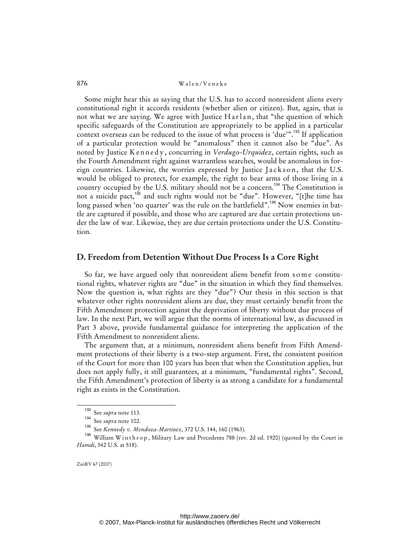Some might hear this as saying that the U.S. has to accord nonresident aliens every constitutional right it accords residents (whether alien or citizen). But, again, that is not what we are saying. We agree with Justice Harlan, that "the question of which specific safeguards of the Constitution are appropriately to be applied in a particular context overseas can be reduced to the issue of what process is 'due'".<sup>133</sup> If application of a particular protection would be "anomalous" then it cannot also be "due". As noted by Justice Kennedy, concurring in *Verdugo-Urquidez*, certain rights, such as the Fourth Amendment right against warrantless searches, would be anomalous in foreign countries. Likewise, the worries expressed by Justice Jackson, that the U.S. would be obliged to protect, for example, the right to bear arms of those living in a country occupied by the U.S. military should not be a concern.<sup>134</sup> The Constitution is not a suicide pact,<sup>135</sup> and such rights would not be "due". However, "[t]he time has long passed when 'no quarter' was the rule on the battlefield".<sup>136</sup> Now enemies in battle are captured if possible, and those who are captured are due certain protections under the law of war. Likewise, they are due certain protections under the U.S. Constitution.

### **D. Freedom from Detention Without Due Process Is a Core Right**

So far, we have argued only that nonresident aliens benefit from some constitutional rights, whatever rights are "due" in the situation in which they find themselves. Now the question is, what rights are they "due"? Our thesis in this section is that whatever other rights nonresident aliens are due, they must certainly benefit from the Fifth Amendment protection against the deprivation of liberty without due process of law. In the next Part, we will argue that the norms of international law, as discussed in Part 3 above, provide fundamental guidance for interpreting the application of the Fifth Amendment to nonresident aliens.

The argument that, at a minimum, nonresident aliens benefit from Fifth Amendment protections of their liberty is a two-step argument. First, the consistent position of the Court for more than 100 years has been that when the Constitution applies, but does not apply fully, it still guarantees, at a minimum, "fundamental rights". Second, the Fifth Amendment's protection of liberty is as strong a candidate for a fundamental right as exists in the Constitution.

<sup>133</sup> See *supra* note 113.

 $\frac{134}{135}$  See *supra* note 102.

See *Kennedy v. Mendoza-Martinez*, 372 U.S. 144, 160 (1963).

<sup>136</sup> William Winthrop, Military Law and Precedents 788 (rev. 2d ed. 1920) (quoted by the Court in *Hamdi*, 542 U.S. at 518).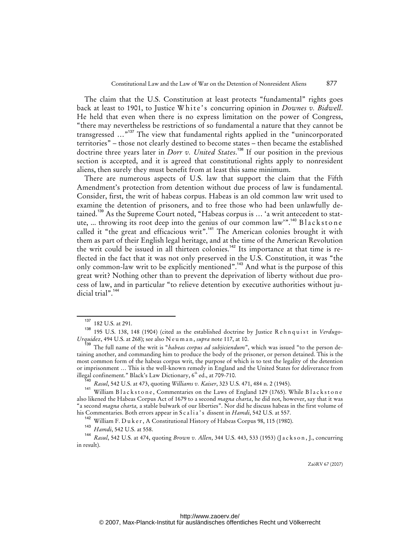The claim that the U.S. Constitution at least protects "fundamental" rights goes back at least to 1901, to Justice White's concurring opinion in *Downes v. Bidwell*. He held that even when there is no express limitation on the power of Congress, "there may nevertheless be restrictions of so fundamental a nature that they cannot be transgressed ...<sup>"137</sup> The view that fundamental rights applied in the "unincorporated territories" – those not clearly destined to become states – then became the established doctrine three years later in *Dorr v. United States*. <sup>138</sup> If our position in the previous section is accepted, and it is agreed that constitutional rights apply to nonresident aliens, then surely they must benefit from at least this same minimum.

There are numerous aspects of U.S. law that support the claim that the Fifth Amendment's protection from detention without due process of law is fundamental. Consider, first, the writ of habeas corpus. Habeas is an old common law writ used to examine the detention of prisoners, and to free those who had been unlawfully detained.<sup>139</sup> As the Supreme Court noted, "Habeas corpus is ... 'a writ antecedent to statute, ... throwing its root deep into the genius of our common law'".<sup>140</sup> Blackstone called it "the great and efficacious writ".<sup>141</sup> The American colonies brought it with them as part of their English legal heritage, and at the time of the American Revolution the writ could be issued in all thirteen colonies.<sup>142</sup> Its importance at that time is reflected in the fact that it was not only preserved in the U.S. Constitution, it was "the only common-law writ to be explicitly mentioned".<sup>143</sup> And what is the purpose of this great writ? Nothing other than to prevent the deprivation of liberty without due process of law, and in particular "to relieve detention by executive authorities without judicial trial".<sup>144</sup>

<sup>182</sup> U.S. at 291.

<sup>&</sup>lt;sup>138</sup> 195 U.S. 138, 148 (1904) (cited as the established doctrine by Justice Rehnquist in *Verdugo-Urquidez*, 494 U.S. at 268); see also N e u m a n , *supra* note 117, at 10.

<sup>139</sup> The full name of the writ is "*habeas corpus ad subjiciendum*", which was issued "to the person detaining another, and commanding him to produce the body of the prisoner, or person detained. This is the most common form of the habeas corpus writ, the purpose of which is to test the legality of the detention or imprisonment … This is the well-known remedy in England and the United States for deliverance from illegal confinement." Black's Law Dictionary,  $6<sup>th</sup>$  ed., at 709-710.

<sup>140</sup> *Rasul*, 542 U.S. at 473, quoting *Williams v. Kaiser*, 323 U.S. 471, 484 n. 2 (1945).

<sup>141</sup> William Blackstone, Commentaries on the Laws of England 129 (1765). While Blackstone also likened the Habeas Corpus Act of 1679 to a second *magna charta*, he did not, however, say that it was "a second *magna charta,* a stable bulwark of our liberties". Nor did he discuss habeas in the first volume of his Commentaries. Both errors appear in Scalia's dissent in *Hamdi*, 542 U.S. at 557.

<sup>&</sup>lt;sup>142</sup> William F. Duker, A Constitutional History of Habeas Corpus 98, 115 (1980).

<sup>143</sup> *Hamdi*, 542 U.S. at 558.

<sup>144</sup> *Rasul*, 542 U.S. at 474, quoting *Brown v. Allen*, 344 U.S. 443, 533 (1953) (J a c k s o n , J., concurring in result).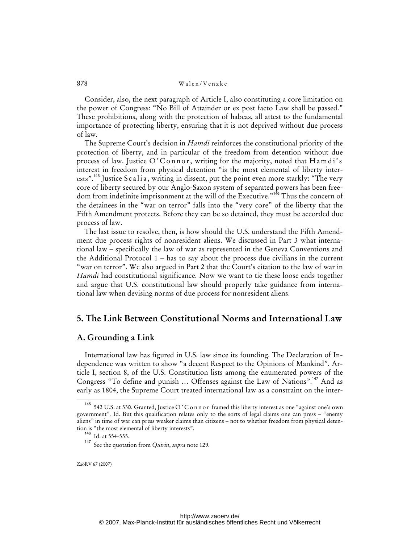Consider, also, the next paragraph of Article I, also constituting a core limitation on the power of Congress: "No Bill of Attainder or ex post facto Law shall be passed." These prohibitions, along with the protection of habeas, all attest to the fundamental importance of protecting liberty, ensuring that it is not deprived without due process of law.

The Supreme Court's decision in *Hamdi* reinforces the constitutional priority of the protection of liberty, and in particular of the freedom from detention without due process of law. Justice  $O^{\prime}$ C on n or, writing for the majority, noted that H a m di's interest in freedom from physical detention "is the most elemental of liberty interests".<sup>45</sup> Justice S c a li a, writing in dissent, put the point even more starkly: "The very core of liberty secured by our Anglo-Saxon system of separated powers has been freedom from indefinite imprisonment at the will of the Executive."<sup>146</sup> Thus the concern of the detainees in the "war on terror" falls into the "very core" of the liberty that the Fifth Amendment protects. Before they can be so detained, they must be accorded due process of law.

The last issue to resolve, then, is how should the U.S. understand the Fifth Amendment due process rights of nonresident aliens. We discussed in Part 3 what international law – specifically the law of war as represented in the Geneva Conventions and the Additional Protocol 1 – has to say about the process due civilians in the current "war on terror". We also argued in Part 2 that the Court's citation to the law of war in *Hamdi* had constitutional significance. Now we want to tie these loose ends together and argue that U.S. constitutional law should properly take guidance from international law when devising norms of due process for nonresident aliens.

# **5. The Link Between Constitutional Norms and International Law**

#### **A. Grounding a Link**

International law has figured in U.S. law since its founding. The Declaration of Independence was written to show "a decent Respect to the Opinions of Mankind". Article I, section 8, of the U.S. Constitution lists among the enumerated powers of the Congress "To define and punish ... Offenses against the Law of Nations".<sup>147</sup> And as early as 1804, the Supreme Court treated international law as a constraint on the inter-

<sup>&</sup>lt;sup>145</sup> 542 U.S. at 530. Granted, Justice O'C on n or framed this liberty interest as one "against one's own government". Id. But this qualification relates only to the sorts of legal claims one can press – "enemy aliens" in time of war can press weaker claims than citizens – not to whether freedom from physical detention is "the most elemental of liberty interests".

<sup>146</sup> Id. at 554-555.

<sup>147</sup> See the quotation from *Quirin*, *supra* note 129.

<http://www.zaoerv.de/> © 2007, Max-Planck-Institut für ausländisches öffentliches Recht und Völkerrecht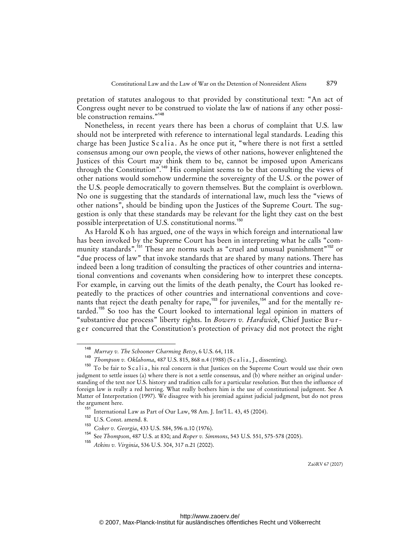pretation of statutes analogous to that provided by constitutional text: "An act of Congress ought never to be construed to violate the law of nations if any other possible construction remains."<sup>148</sup>

Nonetheless, in recent years there has been a chorus of complaint that U.S. law should not be interpreted with reference to international legal standards. Leading this charge has been Justice Scalia. As he once put it, "where there is not first a settled consensus among our own people, the views of other nations, however enlightened the Justices of this Court may think them to be, cannot be imposed upon Americans through the Constitution".<sup>149</sup> His complaint seems to be that consulting the views of other nations would somehow undermine the sovereignty of the U.S. or the power of the U.S. people democratically to govern themselves. But the complaint is overblown. No one is suggesting that the standards of international law, much less the "views of other nations", should be binding upon the Justices of the Supreme Court. The suggestion is only that these standards may be relevant for the light they cast on the best possible interpretation of U.S. constitutional norms.<sup>150</sup>

As Harold K o h has argued, one of the ways in which foreign and international law has been invoked by the Supreme Court has been in interpreting what he calls "community standards".<sup>151</sup> These are norms such as "cruel and unusual punishment"<sup>152</sup> or "due process of law" that invoke standards that are shared by many nations. There has indeed been a long tradition of consulting the practices of other countries and international conventions and covenants when considering how to interpret these concepts. For example, in carving out the limits of the death penalty, the Court has looked repeatedly to the practices of other countries and international conventions and covenants that reject the death penalty for rape,<sup>153</sup> for juveniles,<sup>154</sup> and for the mentally retarded.<sup>155</sup> So too has the Court looked to international legal opinion in matters of "substantive due process" liberty rights. In *Bowers v. Hardwick*, Chief Justice B u r ger concurred that the Constitution's protection of privacy did not protect the right

<sup>148</sup> *Murray v. The Schooner Charming Betsy*, 6 U.S. 64, 118.

<sup>&</sup>lt;sup>149</sup> *Thompson v. Oklahoma*, 487 U.S. 815, 868 n.4 (1988) (Scalia, J., dissenting).

<sup>&</sup>lt;sup>150</sup> To be fair to Scalia, his real concern is that Justices on the Supreme Court would use their own judgment to settle issues (a) where there is not a settle consensus, and (b) where neither an original understanding of the text nor U.S. history and tradition calls for a particular resolution. But then the influence of foreign law is really a red herring. What really bothers him is the use of constitutional judgment. See A Matter of Interpretation (1997). We disagree with his jeremiad against judicial judgment, but do not press the argument here.

International Law as Part of Our Law, 98 Am. J. Int'l L. 43, 45 (2004).

<sup>152</sup> U.S. Const. amend. 8.

<sup>153</sup> *Coker v. Georgia*, 433 U.S. 584, 596 n.10 (1976).

<sup>154</sup> See *Thompson*, 487 U.S. at 830; and *Roper v. Simmons*, 543 U.S. 551, 575-578 (2005).

<sup>155</sup> *Atkins v. Virginia*, 536 U.S. 304, 317 n.21 (2002).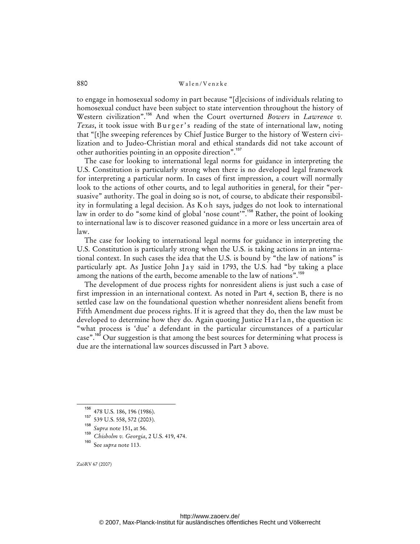to engage in homosexual sodomy in part because "[d]ecisions of individuals relating to homosexual conduct have been subject to state intervention throughout the history of Western civilization".<sup>156</sup> And when the Court overturned *Bowers* in *Lawrence v. Texas*, it took issue with Burger's reading of the state of international law, noting that "[t]he sweeping references by Chief Justice Burger to the history of Western civilization and to Judeo-Christian moral and ethical standards did not take account of other authorities pointing in an opposite direction".<sup>157</sup>

The case for looking to international legal norms for guidance in interpreting the U.S. Constitution is particularly strong when there is no developed legal framework for interpreting a particular norm. In cases of first impression, a court will normally look to the actions of other courts, and to legal authorities in general, for their "persuasive" authority. The goal in doing so is not, of course, to abdicate their responsibility in formulating a legal decision. As Ko h says, judges do not look to international law in order to do "some kind of global 'nose count'".<sup>158</sup> Rather, the point of looking to international law is to discover reasoned guidance in a more or less uncertain area of law.

The case for looking to international legal norms for guidance in interpreting the U.S. Constitution is particularly strong when the U.S. is taking actions in an international context. In such cases the idea that the U.S. is bound by "the law of nations" is particularly apt. As Justice John Jay said in 1793, the U.S. had "by taking a place among the nations of the earth, become amenable to the law of nations".<sup>158</sup>

The development of due process rights for nonresident aliens is just such a case of first impression in an international context. As noted in Part 4, section B, there is no settled case law on the foundational question whether nonresident aliens benefit from Fifth Amendment due process rights. If it is agreed that they do, then the law must be developed to determine how they do. Again quoting Justice Harlan, the question is: "what process is 'due' a defendant in the particular circumstances of a particular case".<sup>160</sup> Our suggestion is that among the best sources for determining what process is due are the international law sources discussed in Part 3 above.

 $^{156}$  478 U.S. 186, 196 (1986).

<sup>539</sup> U.S. 558, 572 (2003).

<sup>158</sup> *Supra* note 151**,** at 56.

<sup>159</sup> *Chisholm v. Georgia*, 2 U.S. 419, 474.

See supra note 113.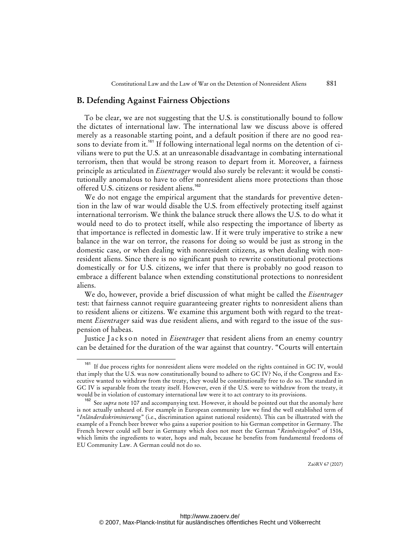### **B. Defending Against Fairness Objections**

To be clear, we are not suggesting that the U.S. is constitutionally bound to follow the dictates of international law. The international law we discuss above is offered merely as a reasonable starting point, and a default position if there are no good reasons to deviate from it.<sup>161</sup> If following international legal norms on the detention of civilians were to put the U.S. at an unreasonable disadvantage in combating international terrorism, then that would be strong reason to depart from it. Moreover, a fairness principle as articulated in *Eisentrager* would also surely be relevant: it would be constitutionally anomalous to have to offer nonresident aliens more protections than those offered U.S. citizens or resident aliens.<sup>162</sup>

We do not engage the empirical argument that the standards for preventive detention in the law of war would disable the U.S. from effectively protecting itself against international terrorism. We think the balance struck there allows the U.S. to do what it would need to do to protect itself, while also respecting the importance of liberty as that importance is reflected in domestic law. If it were truly imperative to strike a new balance in the war on terror, the reasons for doing so would be just as strong in the domestic case, or when dealing with nonresident citizens, as when dealing with nonresident aliens. Since there is no significant push to rewrite constitutional protections domestically or for U.S. citizens, we infer that there is probably no good reason to embrace a different balance when extending constitutional protections to nonresident aliens.

We do, however, provide a brief discussion of what might be called the *Eisentrager* test: that fairness cannot require guaranteeing greater rights to nonresident aliens than to resident aliens or citizens. We examine this argument both with regard to the treatment *Eisentrager* said was due resident aliens, and with regard to the issue of the suspension of habeas.

Justice Jackson noted in *Eisentrager* that resident aliens from an enemy country can be detained for the duration of the war against that country. "Courts will entertain

<sup>&</sup>lt;sup>161</sup> If due process rights for nonresident aliens were modeled on the rights contained in GC IV, would that imply that the U.S. was now constitutionally bound to adhere to GC IV? No, if the Congress and Executive wanted to withdraw from the treaty, they would be constitutionally free to do so. The standard in GC IV is separable from the treaty itself. However, even if the U.S. were to withdraw from the treaty, it would be in violation of customary international law were it to act contrary to its provisions.

<sup>162</sup> See *supra* note 107 and accompanying text. However, it should be pointed out that the anomaly here is not actually unheard of. For example in European community law we find the well established term of "*Inländerdiskriminierung*" (i.e., discrimination against national residents). This can be illustrated with the example of a French beer brewer who gains a superior position to his German competitor in Germany. The French brewer could sell beer in Germany which does not meet the German "*Reinheitsgebot*" of 1516, which limits the ingredients to water, hops and malt, because he benefits from fundamental freedoms of EU Community Law. A German could not do so.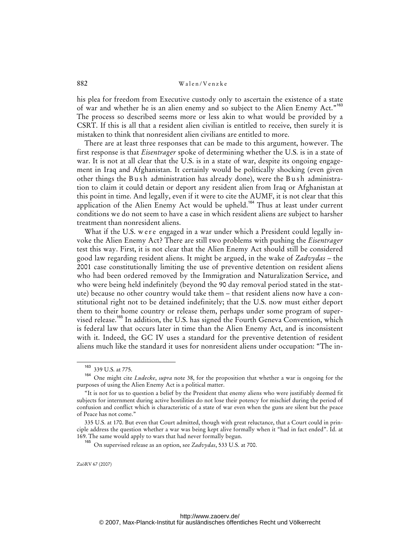his plea for freedom from Executive custody only to ascertain the existence of a state of war and whether he is an alien enemy and so subject to the Alien Enemy Act."<sup>163</sup> The process so described seems more or less akin to what would be provided by a CSRT. If this is all that a resident alien civilian is entitled to receive, then surely it is mistaken to think that nonresident alien civilians are entitled to more.

There are at least three responses that can be made to this argument, however. The first response is that *Eisentrager* spoke of determining whether the U.S. is in a state of war. It is not at all clear that the U.S. is in a state of war, despite its ongoing engagement in Iraq and Afghanistan. It certainly would be politically shocking (even given other things the Bush administration has already done), were the Bush administration to claim it could detain or deport any resident alien from Iraq or Afghanistan at this point in time. And legally, even if it were to cite the AUMF, it is not clear that this application of the Alien Enemy Act would be upheld.<sup>164</sup> Thus at least under current conditions we do not seem to have a case in which resident aliens are subject to harsher treatment than nonresident aliens.

What if the U.S. were engaged in a war under which a President could legally invoke the Alien Enemy Act? There are still two problems with pushing the *Eisentrager* test this way. First, it is not clear that the Alien Enemy Act should still be considered good law regarding resident aliens. It might be argued, in the wake of *Zadvydas* – the 2001 case constitutionally limiting the use of preventive detention on resident aliens who had been ordered removed by the Immigration and Naturalization Service, and who were being held indefinitely (beyond the 90 day removal period stated in the statute) because no other country would take them – that resident aliens now have a constitutional right not to be detained indefinitely; that the U.S. now must either deport them to their home country or release them, perhaps under some program of supervised release.<sup>165</sup> In addition, the U.S. has signed the Fourth Geneva Convention, which is federal law that occurs later in time than the Alien Enemy Act, and is inconsistent with it. Indeed, the GC IV uses a standard for the preventive detention of resident aliens much like the standard it uses for nonresident aliens under occupation: "The in-

<sup>163</sup> 339 U.S. at 775.

<sup>164</sup> One might cite *Ludecke*, *supra* note 38, for the proposition that whether a war is ongoing for the purposes of using the Alien Enemy Act is a political matter.

<sup>&</sup>quot;It is not for us to question a belief by the President that enemy aliens who were justifiably deemed fit subjects for internment during active hostilities do not lose their potency for mischief during the period of confusion and conflict which is characteristic of a state of war even when the guns are silent but the peace of Peace has not come."

<sup>335</sup> U.S. at 170. But even that Court admitted, though with great reluctance, that a Court could in principle address the question whether a war was being kept alive formally when it "had in fact ended". Id. at 169. The same would apply to wars that had never formally begun.

<sup>165</sup> On supervised release as an option, see *Zadvydas*, 533 U.S. at 700.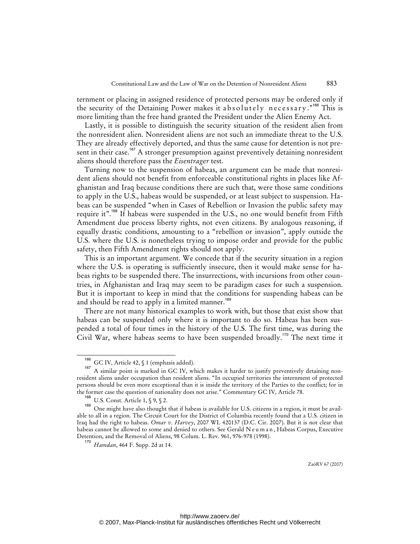ternment or placing in assigned residence of protected persons may be ordered only if the security of the Detaining Power makes it absolutely necessary."<sup>166</sup> This is more limiting than the free hand granted the President under the Alien Enemy Act.

Lastly, it is possible to distinguish the security situation of the resident alien from the nonresident alien. Nonresident aliens are not such an immediate threat to the U.S. They are already effectively deported, and thus the same cause for detention is not present in their case.<sup>167</sup> A stronger presumption against preventively detaining nonresident aliens should therefore pass the *Eisentrager* test.

Turning now to the suspension of habeas, an argument can be made that nonresident aliens should not benefit from enforceable constitutional rights in places like Afghanistan and Iraq because conditions there are such that, were those same conditions to apply in the U.S., habeas would be suspended, or at least subject to suspension. Habeas can be suspended "when in Cases of Rebellion or Invasion the public safety may require it".<sup>168</sup> If habeas were suspended in the U.S., no one would benefit from Fifth Amendment due process liberty rights, not even citizens. By analogous reasoning, if equally drastic conditions, amounting to a "rebellion or invasion", apply outside the U.S. where the U.S. is nonetheless trying to impose order and provide for the public safety, then Fifth Amendment rights should not apply.

This is an important argument. We concede that if the security situation in a region where the U.S. is operating is sufficiently insecure, then it would make sense for habeas rights to be suspended there. The insurrections, with incursions from other countries, in Afghanistan and Iraq may seem to be paradigm cases for such a suspension. But it is important to keep in mind that the conditions for suspending habeas can be and should be read to apply in a limited manner.<sup>169</sup>

There are not many historical examples to work with, but those that exist show that habeas can be suspended only where it is important to do so. Habeas has been suspended a total of four times in the history of the U.S. The first time, was during the Civil War, where habeas seems to have been suspended broadly.<sup>170</sup> The next time it

GC IV, Article 42, § 1 (emphasis added).

<sup>167</sup> A similar point is marked in GC IV, which makes it harder to justify preventively detaining nonresident aliens under occupation than resident aliens. "In occupied territories the internment of protected persons should be even more exceptional than it is inside the territory of the Parties to the conflict; for in the former case the question of nationality does not arise." Commentary GC IV, Article 78.

U.S. Const. Article 1, § 9, § 2.

<sup>169</sup> One might have also thought that if habeas is available for U.S. citizens in a region, it must be available to all in a region. The Circuit Court for the District of Columbia recently found that a U.S. citizen in Iraq had the right to habeas. *Omar v. Harvey*, 2007 WL 420137 (D.C. Cir. 2007). But it is not clear that habeas cannot be allowed to some and denied to others. See Gerald N e u m a n , Habeas Corpus, Executive Detention, and the Removal of Aliens, 98 Colum. L. Rev. 961, 976-978 (1998).

<sup>170</sup> *Hamdan*, 464 F. Supp. 2d at 14.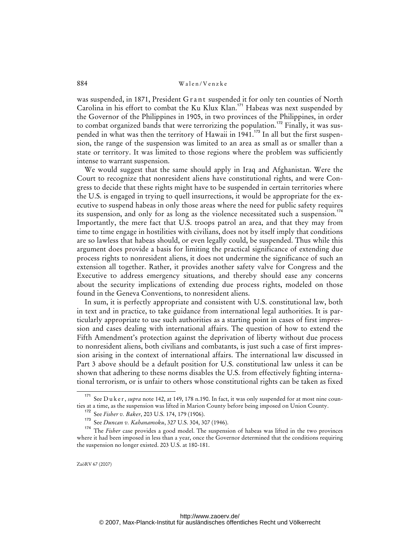was suspended, in 1871, President G r ant suspended it for only ten counties of North Carolina in his effort to combat the Ku Klux Klan.<sup>171</sup> Habeas was next suspended by the Governor of the Philippines in 1905, in two provinces of the Philippines, in order to combat organized bands that were terrorizing the population.<sup>172</sup> Finally, it was suspended in what was then the territory of Hawaii in  $1941$ .<sup>173</sup> In all but the first suspension, the range of the suspension was limited to an area as small as or smaller than a state or territory. It was limited to those regions where the problem was sufficiently intense to warrant suspension.

We would suggest that the same should apply in Iraq and Afghanistan. Were the Court to recognize that nonresident aliens have constitutional rights, and were Congress to decide that these rights might have to be suspended in certain territories where the U.S. is engaged in trying to quell insurrections, it would be appropriate for the executive to suspend habeas in only those areas where the need for public safety requires its suspension, and only for as long as the violence necessitated such a suspension.<sup>174</sup> Importantly, the mere fact that U.S. troops patrol an area, and that they may from time to time engage in hostilities with civilians, does not by itself imply that conditions are so lawless that habeas should, or even legally could, be suspended. Thus while this argument does provide a basis for limiting the practical significance of extending due process rights to nonresident aliens, it does not undermine the significance of such an extension all together. Rather, it provides another safety valve for Congress and the Executive to address emergency situations, and thereby should ease any concerns about the security implications of extending due process rights, modeled on those found in the Geneva Conventions, to nonresident aliens.

In sum, it is perfectly appropriate and consistent with U.S. constitutional law, both in text and in practice, to take guidance from international legal authorities. It is particularly appropriate to use such authorities as a starting point in cases of first impression and cases dealing with international affairs. The question of how to extend the Fifth Amendment's protection against the deprivation of liberty without due process to nonresident aliens, both civilians and combatants, is just such a case of first impression arising in the context of international affairs. The international law discussed in Part 3 above should be a default position for U.S. constitutional law unless it can be shown that adhering to these norms disables the U.S. from effectively fighting international terrorism, or is unfair to others whose constitutional rights can be taken as fixed

<sup>&</sup>lt;sup>171</sup> See D u k e r, *supra* note 142, at 149, 178 n.190. In fact, it was only suspended for at most nine counties at a time, as the suspension was lifted in Marion County before being imposed on Union County.

<sup>172</sup> See *Fisher v. Baker*, 203 U.S. 174, 179 (1906).

See Duncan v. Kahanamoku, 327 U.S. 304, 307 (1946).

<sup>&</sup>lt;sup>174</sup> The *Fisher* case provides a good model. The suspension of habeas was lifted in the two provinces where it had been imposed in less than a year, once the Governor determined that the conditions requiring the suspension no longer existed. 203 U.S. at 180-181.